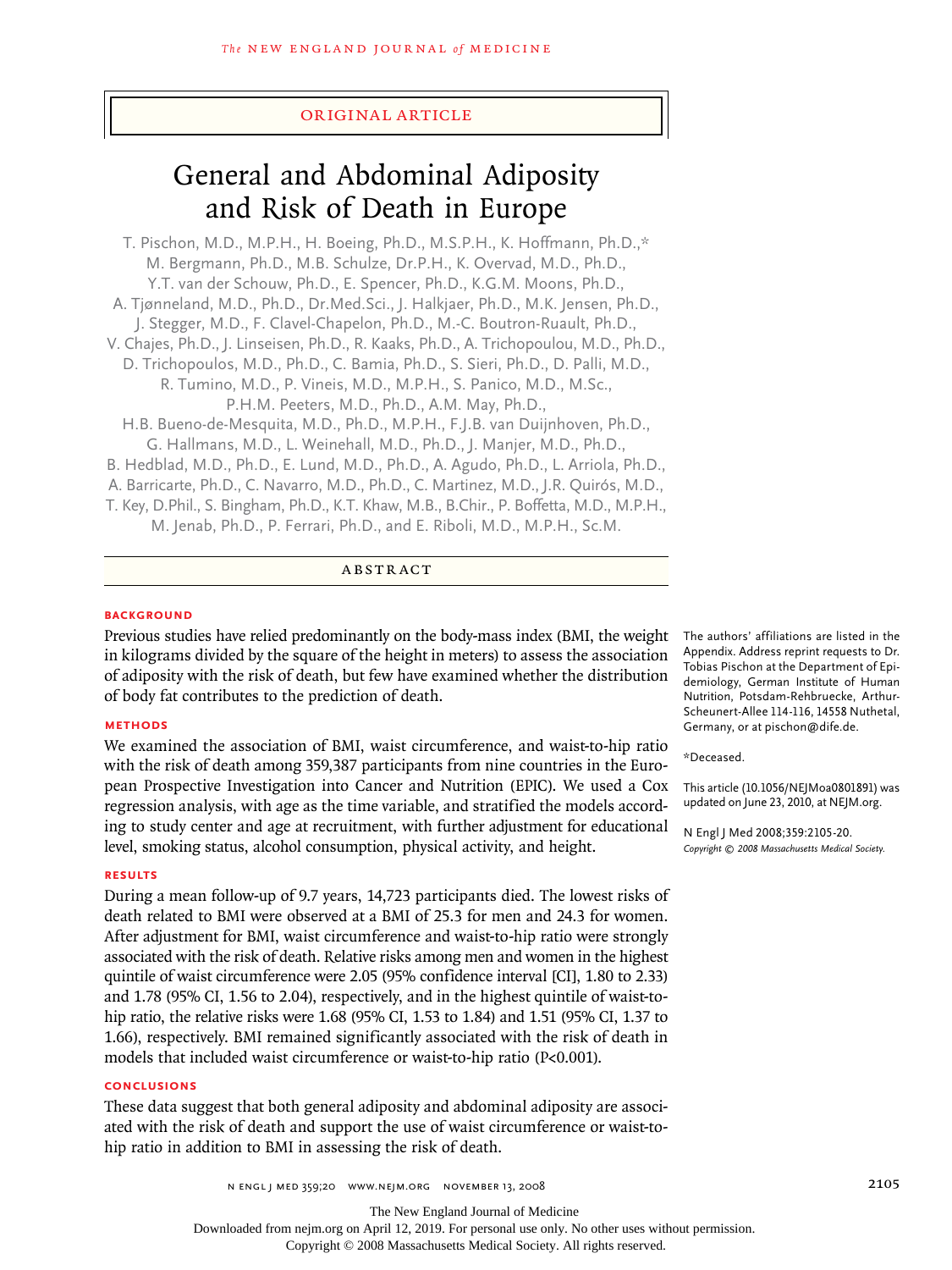# original article

# General and Abdominal Adiposity and Risk of Death in Europe

T. Pischon, M.D., M.P.H., H. Boeing, Ph.D., M.S.P.H., K. Hoffmann, Ph.D.,\* M. Bergmann, Ph.D., M.B. Schulze, Dr.P.H., K. Overvad, M.D., Ph.D., Y.T. van der Schouw, Ph.D., E. Spencer, Ph.D., K.G.M. Moons, Ph.D., A. Tjønneland, M.D., Ph.D., Dr.Med.Sci., J. Halkjaer, Ph.D., M.K. Jensen, Ph.D., J. Stegger, M.D., F. Clavel-Chapelon, Ph.D., M.-C. Boutron-Ruault, Ph.D., V. Chajes, Ph.D., J. Linseisen, Ph.D., R. Kaaks, Ph.D., A. Trichopoulou, M.D., Ph.D., D. Trichopoulos, M.D., Ph.D., C. Bamia, Ph.D., S. Sieri, Ph.D., D. Palli, M.D., R. Tumino, M.D., P. Vineis, M.D., M.P.H., S. Panico, M.D., M.Sc., P.H.M. Peeters, M.D., Ph.D., A.M. May, Ph.D., H.B. Bueno-de-Mesquita, M.D., Ph.D., M.P.H., F.J.B. van Duijnhoven, Ph.D., G. Hallmans, M.D., L. Weinehall, M.D., Ph.D., J. Manjer, M.D., Ph.D., B. Hedblad, M.D., Ph.D., E. Lund, M.D., Ph.D., A. Agudo, Ph.D., L. Arriola, Ph.D., A. Barricarte, Ph.D., C. Navarro, M.D., Ph.D., C. Martinez, M.D., J.R. Quirós, M.D., T. Key, D.Phil., S. Bingham, Ph.D., K.T. Khaw, M.B., B.Chir., P. Boffetta, M.D., M.P.H., M. Jenab, Ph.D., P. Ferrari, Ph.D., and E. Riboli, M.D., M.P.H., Sc.M.

**ABSTRACT** 

#### **BACKGROUND**

Previous studies have relied predominantly on the body-mass index (BMI, the weight in kilograms divided by the square of the height in meters) to assess the association of adiposity with the risk of death, but few have examined whether the distribution of body fat contributes to the prediction of death.

#### **Methods**

We examined the association of BMI, waist circumference, and waist-to-hip ratio with the risk of death among 359,387 participants from nine countries in the European Prospective Investigation into Cancer and Nutrition (EPIC). We used a Cox regression analysis, with age as the time variable, and stratified the models according to study center and age at recruitment, with further adjustment for educational level, smoking status, alcohol consumption, physical activity, and height.

## **Results**

During a mean follow-up of 9.7 years, 14,723 participants died. The lowest risks of death related to BMI were observed at a BMI of 25.3 for men and 24.3 for women. After adjustment for BMI, waist circumference and waist-to-hip ratio were strongly associated with the risk of death. Relative risks among men and women in the highest quintile of waist circumference were 2.05 (95% confidence interval [CI], 1.80 to 2.33) and 1.78 (95% CI, 1.56 to 2.04), respectively, and in the highest quintile of waist-tohip ratio, the relative risks were 1.68 (95% CI, 1.53 to 1.84) and 1.51 (95% CI, 1.37 to 1.66), respectively. BMI remained significantly associated with the risk of death in models that included waist circumference or waist-to-hip ratio (P<0.001).

### **Conclusions**

These data suggest that both general adiposity and abdominal adiposity are associated with the risk of death and support the use of waist circumference or waist-tohip ratio in addition to BMI in assessing the risk of death.

The authors' affiliations are listed in the Appendix. Address reprint requests to Dr. Tobias Pischon at the Department of Epidemiology, German Institute of Human Nutrition, Potsdam-Rehbruecke, Arthur-Scheunert-Allee 114-116, 14558 Nuthetal, Germany, or at pischon@dife.de.

\*Deceased.

This article (10.1056/NEJMoa0801891) was updated on June 23, 2010, at NEJM.org.

N Engl J Med 2008;359:2105-20. *Copyright © 2008 Massachusetts Medical Society.*

n engl j med 359;20 www.nejm.org november 13, 2008 2105

The New England Journal of Medicine

Downloaded from nejm.org on April 12, 2019. For personal use only. No other uses without permission.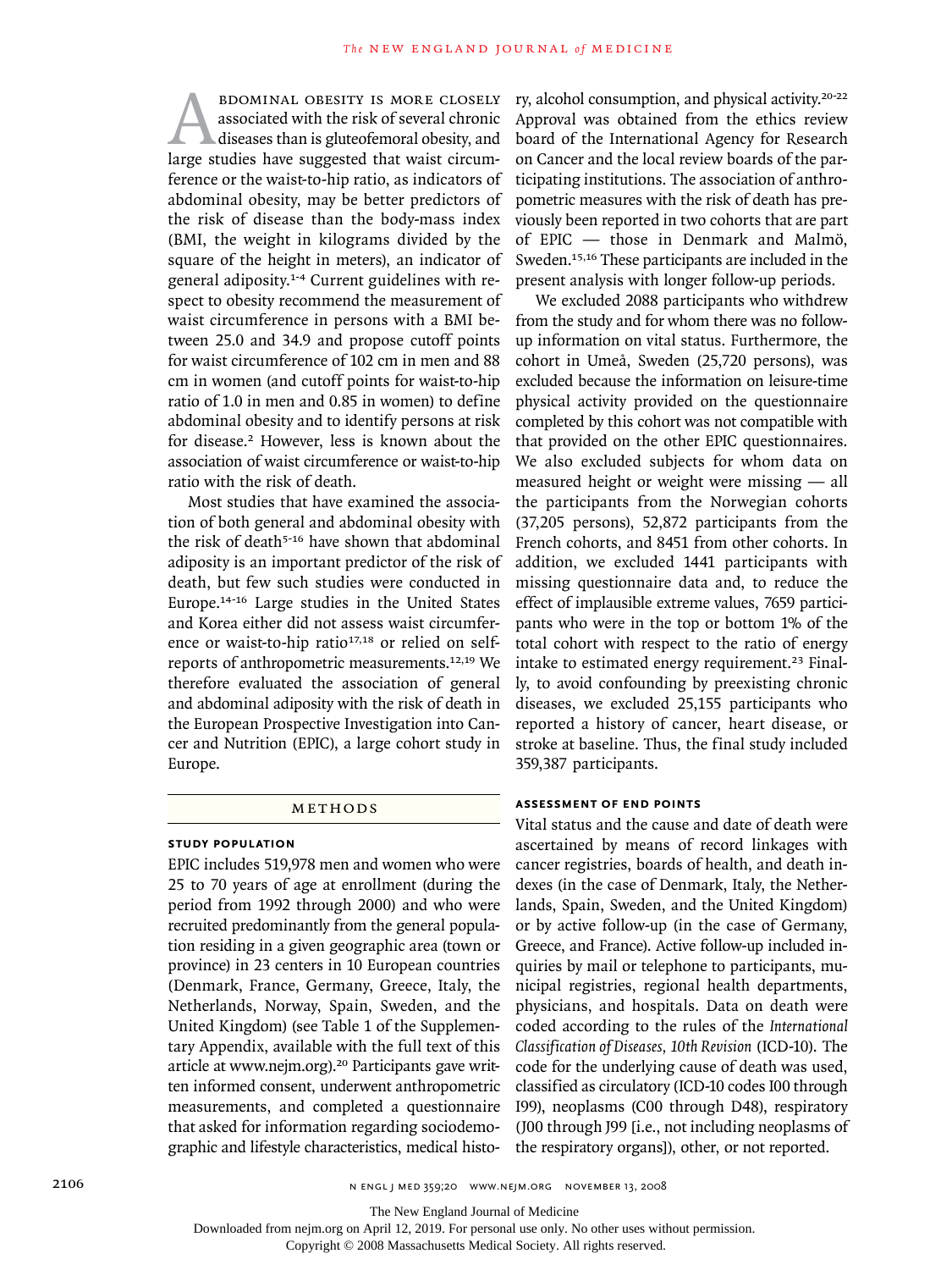BDOMINAL OBESITY IS MORE CLOSELY associated with the risk of several chronic diseases than is gluteofemoral obesity, and large studies have suggested that waist circumassociated with the risk of several chronic diseases than is gluteofemoral obesity, and ference or the waist-to-hip ratio, as indicators of abdominal obesity, may be better predictors of the risk of disease than the body-mass index (BMI, the weight in kilograms divided by the square of the height in meters), an indicator of general adiposity.1-4 Current guidelines with respect to obesity recommend the measurement of waist circumference in persons with a BMI between 25.0 and 34.9 and propose cutoff points for waist circumference of 102 cm in men and 88 cm in women (and cutoff points for waist-to-hip ratio of 1.0 in men and 0.85 in women) to define abdominal obesity and to identify persons at risk for disease.2 However, less is known about the association of waist circumference or waist-to-hip ratio with the risk of death.

Most studies that have examined the association of both general and abdominal obesity with the risk of death<sup>5-16</sup> have shown that abdominal adiposity is an important predictor of the risk of death, but few such studies were conducted in Europe.14-16 Large studies in the United States and Korea either did not assess waist circumference or waist-to-hip ratio<sup>17,18</sup> or relied on selfreports of anthropometric measurements.12,19 We therefore evaluated the association of general and abdominal adiposity with the risk of death in the European Prospective Investigation into Cancer and Nutrition (EPIC), a large cohort study in Europe.

#### Methods

## **Study Population**

EPIC includes 519,978 men and women who were 25 to 70 years of age at enrollment (during the period from 1992 through 2000) and who were recruited predominantly from the general population residing in a given geographic area (town or province) in 23 centers in 10 European countries (Denmark, France, Germany, Greece, Italy, the Netherlands, Norway, Spain, Sweden, and the United Kingdom) (see Table 1 of the Supplementary Appendix, available with the full text of this article at www.nejm.org).20 Participants gave written informed consent, underwent anthropometric measurements, and completed a questionnaire that asked for information regarding sociodemographic and lifestyle characteristics, medical history, alcohol consumption, and physical activity.20-22 Approval was obtained from the ethics review board of the International Agency for Research on Cancer and the local review boards of the participating institutions. The association of anthropometric measures with the risk of death has previously been reported in two cohorts that are part of EPIC — those in Denmark and Malmö, Sweden.15,16 These participants are included in the present analysis with longer follow-up periods.

We excluded 2088 participants who withdrew from the study and for whom there was no followup information on vital status. Furthermore, the cohort in Umeå, Sweden (25,720 persons), was excluded because the information on leisure-time physical activity provided on the questionnaire completed by this cohort was not compatible with that provided on the other EPIC questionnaires. We also excluded subjects for whom data on measured height or weight were missing — all the participants from the Norwegian cohorts (37,205 persons), 52,872 participants from the French cohorts, and 8451 from other cohorts. In addition, we excluded 1441 participants with missing questionnaire data and, to reduce the effect of implausible extreme values, 7659 participants who were in the top or bottom 1% of the total cohort with respect to the ratio of energy intake to estimated energy requirement.<sup>23</sup> Finally, to avoid confounding by preexisting chronic diseases, we excluded 25,155 participants who reported a history of cancer, heart disease, or stroke at baseline. Thus, the final study included 359,387 participants.

## **Assessment of End Points**

Vital status and the cause and date of death were ascertained by means of record linkages with cancer registries, boards of health, and death indexes (in the case of Denmark, Italy, the Netherlands, Spain, Sweden, and the United Kingdom) or by active follow-up (in the case of Germany, Greece, and France). Active follow-up included inquiries by mail or telephone to participants, municipal registries, regional health departments, physicians, and hospitals. Data on death were coded according to the rules of the *International Classification of Diseases, 10th Revision* (ICD-10). The code for the underlying cause of death was used, classified as circulatory (ICD-10 codes I00 through I99), neoplasms (C00 through D48), respiratory (J00 through J99 [i.e., not including neoplasms of the respiratory organs]), other, or not reported.

Downloaded from nejm.org on April 12, 2019. For personal use only. No other uses without permission.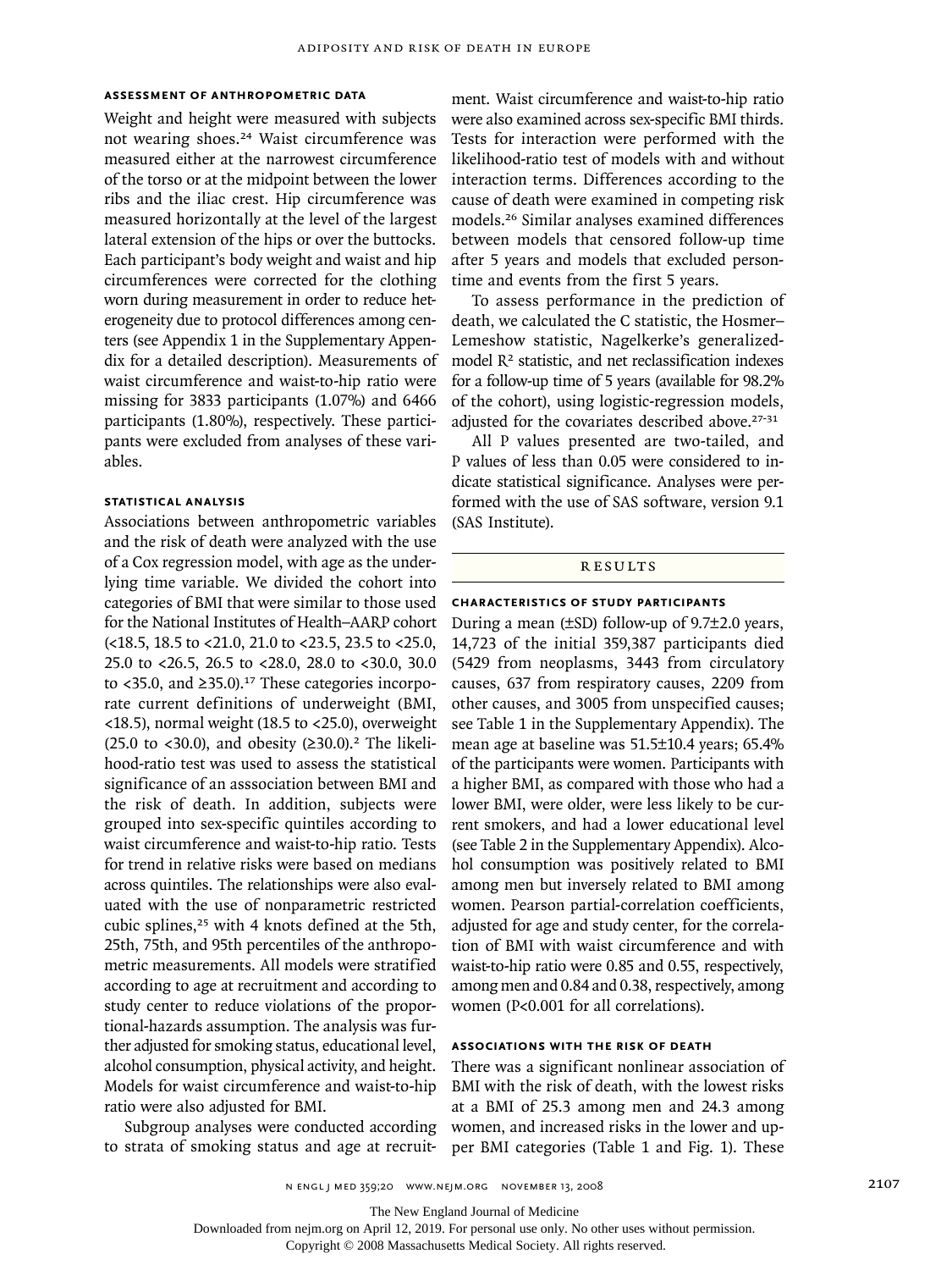### **Assessment of Anthropometric Data**

Weight and height were measured with subjects not wearing shoes.24 Waist circumference was measured either at the narrowest circumference of the torso or at the midpoint between the lower ribs and the iliac crest. Hip circumference was measured horizontally at the level of the largest lateral extension of the hips or over the buttocks. Each participant's body weight and waist and hip circumferences were corrected for the clothing worn during measurement in order to reduce heterogeneity due to protocol differences among centers (see Appendix 1 in the Supplementary Appendix for a detailed description). Measurements of waist circumference and waist-to-hip ratio were missing for 3833 participants (1.07%) and 6466 participants (1.80%), respectively. These participants were excluded from analyses of these variables.

#### **Statistical Analysis**

Associations between anthropometric variables and the risk of death were analyzed with the use of a Cox regression model, with age as the underlying time variable. We divided the cohort into categories of BMI that were similar to those used for the National Institutes of Health–AARP cohort (<18.5, 18.5 to <21.0, 21.0 to <23.5, 23.5 to <25.0, 25.0 to <26.5, 26.5 to <28.0, 28.0 to <30.0, 30.0 to <35.0, and  $\geq$ 35.0).<sup>17</sup> These categories incorporate current definitions of underweight (BMI, <18.5), normal weight (18.5 to <25.0), overweight (25.0 to <30.0), and obesity  $(\geq 30.0)$ .<sup>2</sup> The likelihood-ratio test was used to assess the statistical significance of an asssociation between BMI and the risk of death. In addition, subjects were grouped into sex-specific quintiles according to waist circumference and waist-to-hip ratio. Tests for trend in relative risks were based on medians across quintiles. The relationships were also evaluated with the use of nonparametric restricted cubic splines,<sup>25</sup> with 4 knots defined at the 5th, 25th, 75th, and 95th percentiles of the anthropometric measurements. All models were stratified according to age at recruitment and according to study center to reduce violations of the proportional-hazards assumption. The analysis was further adjusted for smoking status, educational level, alcohol consumption, physical activity, and height. Models for waist circumference and waist-to-hip ratio were also adjusted for BMI.

Subgroup analyses were conducted according to strata of smoking status and age at recruit-

ment. Waist circumference and waist-to-hip ratio were also examined across sex-specific BMI thirds. Tests for interaction were performed with the likelihood-ratio test of models with and without interaction terms. Differences according to the cause of death were examined in competing risk models.26 Similar analyses examined differences between models that censored follow-up time after 5 years and models that excluded persontime and events from the first 5 years.

To assess performance in the prediction of death, we calculated the C statistic, the Hosmer– Lemeshow statistic, Nagelkerke's generalizedmodel  $R<sup>2</sup>$  statistic, and net reclassification indexes for a follow-up time of 5 years (available for 98.2% of the cohort), using logistic-regression models, adjusted for the covariates described above.27-31

All P values presented are two-tailed, and P values of less than 0.05 were considered to indicate statistical significance. Analyses were performed with the use of SAS software, version 9.1 (SAS Institute).

#### Results

#### **Characteristics of Study Participants**

During a mean (±SD) follow-up of 9.7±2.0 years, 14,723 of the initial 359,387 participants died (5429 from neoplasms, 3443 from circulatory causes, 637 from respiratory causes, 2209 from other causes, and 3005 from unspecified causes; see Table 1 in the Supplementary Appendix). The mean age at baseline was 51.5±10.4 years; 65.4% of the participants were women. Participants with a higher BMI, as compared with those who had a lower BMI, were older, were less likely to be current smokers, and had a lower educational level (see Table 2 in the Supplementary Appendix). Alcohol consumption was positively related to BMI among men but inversely related to BMI among women. Pearson partial-correlation coefficients, adjusted for age and study center, for the correlation of BMI with waist circumference and with waist-to-hip ratio were 0.85 and 0.55, respectively, among men and 0.84 and 0.38, respectively, among women (P<0.001 for all correlations).

### **Associations with the Risk of Death**

There was a significant nonlinear association of BMI with the risk of death, with the lowest risks at a BMI of 25.3 among men and 24.3 among women, and increased risks in the lower and upper BMI categories (Table 1 and Fig. 1). These

The New England Journal of Medicine

Downloaded from nejm.org on April 12, 2019. For personal use only. No other uses without permission.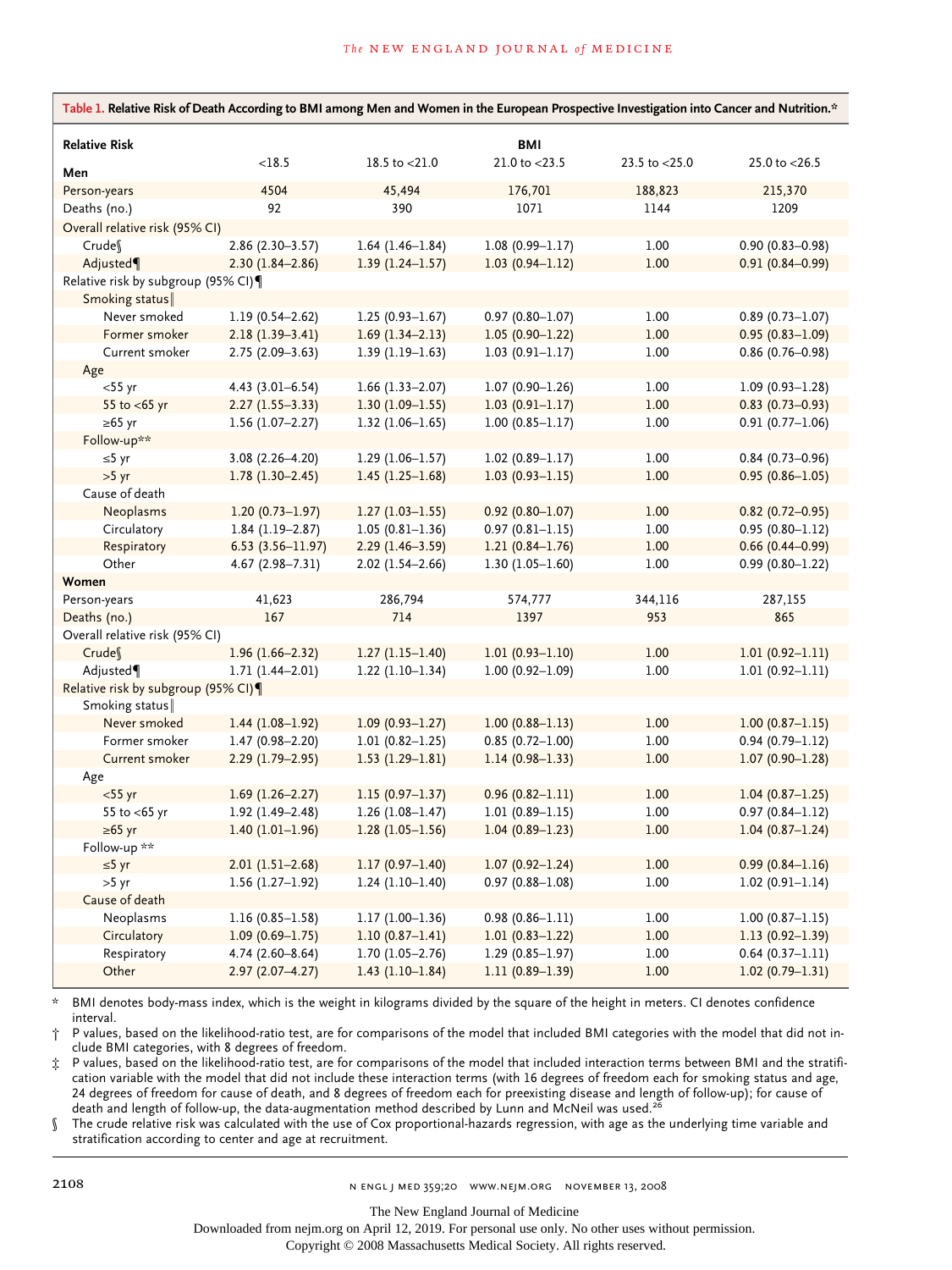| Table 1. Relative Risk of Death According to BMI among Men and Women in the European Prospective Investigation into Cancer and Nutrition.* |                      |                     |                     |               |                     |  |  |
|--------------------------------------------------------------------------------------------------------------------------------------------|----------------------|---------------------|---------------------|---------------|---------------------|--|--|
| <b>Relative Risk</b>                                                                                                                       |                      |                     | BMI                 |               |                     |  |  |
| Men                                                                                                                                        | <18.5                | 18.5 to <21.0       | 21.0 to <23.5       | 23.5 to <25.0 | 25.0 to $<$ 26.5    |  |  |
| Person-years                                                                                                                               | 4504                 | 45,494              | 176,701             | 188,823       | 215,370             |  |  |
| Deaths (no.)                                                                                                                               | 92                   | 390                 | 1071                | 1144          | 1209                |  |  |
| Overall relative risk (95% CI)                                                                                                             |                      |                     |                     |               |                     |  |  |
| Crude                                                                                                                                      | $2.86(2.30-3.57)$    | $1.64$ (1.46-1.84)  | $1.08(0.99 - 1.17)$ | 1.00          | $0.90(0.83 - 0.98)$ |  |  |
| Adjusted                                                                                                                                   | $2.30(1.84 - 2.86)$  | $1.39(1.24 - 1.57)$ | $1.03(0.94 - 1.12)$ | 1.00          | $0.91(0.84 - 0.99)$ |  |  |
| Relative risk by subgroup (95% CI)                                                                                                         |                      |                     |                     |               |                     |  |  |
| Smoking status                                                                                                                             |                      |                     |                     |               |                     |  |  |
| Never smoked                                                                                                                               | $1.19(0.54 - 2.62)$  | $1.25(0.93 - 1.67)$ | $0.97(0.80 - 1.07)$ | 1.00          | $0.89(0.73 - 1.07)$ |  |  |
| Former smoker                                                                                                                              | $2.18(1.39 - 3.41)$  | $1.69(1.34 - 2.13)$ | $1.05(0.90 - 1.22)$ | 1.00          | $0.95(0.83 - 1.09)$ |  |  |
| Current smoker                                                                                                                             | $2.75(2.09-3.63)$    | $1.39(1.19-1.63)$   | $1.03(0.91 - 1.17)$ | 1.00          | $0.86$ (0.76-0.98)  |  |  |
| Age                                                                                                                                        |                      |                     |                     |               |                     |  |  |
| $<$ 55 yr                                                                                                                                  | $4.43(3.01 - 6.54)$  | $1.66$ (1.33-2.07)  | $1.07(0.90 - 1.26)$ | 1.00          | $1.09(0.93 - 1.28)$ |  |  |
| 55 to <65 yr                                                                                                                               | $2.27(1.55-3.33)$    | $1.30(1.09 - 1.55)$ | $1.03(0.91 - 1.17)$ | 1.00          | $0.83(0.73 - 0.93)$ |  |  |
| ≥65 yr                                                                                                                                     | $1.56(1.07 - 2.27)$  | $1.32(1.06 - 1.65)$ | $1.00(0.85 - 1.17)$ | 1.00          | $0.91(0.77 - 1.06)$ |  |  |
| Follow-up**                                                                                                                                |                      |                     |                     |               |                     |  |  |
| ≤5 yr                                                                                                                                      | $3.08(2.26 - 4.20)$  | $1.29(1.06 - 1.57)$ | $1.02(0.89 - 1.17)$ | 1.00          | $0.84(0.73 - 0.96)$ |  |  |
| $>5$ yr                                                                                                                                    | $1.78(1.30 - 2.45)$  | $1.45(1.25-1.68)$   | $1.03(0.93 - 1.15)$ | 1.00          | $0.95(0.86 - 1.05)$ |  |  |
| Cause of death                                                                                                                             |                      |                     |                     |               |                     |  |  |
| Neoplasms                                                                                                                                  | $1.20(0.73 - 1.97)$  | $1.27(1.03 - 1.55)$ | $0.92(0.80 - 1.07)$ | 1.00          | $0.82$ (0.72-0.95)  |  |  |
| Circulatory                                                                                                                                | $1.84(1.19-2.87)$    | $1.05(0.81 - 1.36)$ | $0.97(0.81 - 1.15)$ | 1.00          | $0.95(0.80 - 1.12)$ |  |  |
| Respiratory                                                                                                                                | $6.53(3.56 - 11.97)$ | $2.29(1.46-3.59)$   | $1.21(0.84 - 1.76)$ | 1.00          | $0.66$ (0.44-0.99)  |  |  |
| Other                                                                                                                                      | 4.67 (2.98-7.31)     | $2.02(1.54 - 2.66)$ | $1.30(1.05-1.60)$   | 1.00          | $0.99(0.80 - 1.22)$ |  |  |
| Women                                                                                                                                      |                      |                     |                     |               |                     |  |  |
| Person-years                                                                                                                               | 41,623               | 286,794             | 574,777             | 344,116       | 287,155             |  |  |
| Deaths (no.)                                                                                                                               | 167                  | 714                 | 1397                | 953           | 865                 |  |  |
| Overall relative risk (95% CI)                                                                                                             |                      |                     |                     |               |                     |  |  |
| Crude                                                                                                                                      | $1.96(1.66 - 2.32)$  | $1.27(1.15-1.40)$   | $1.01(0.93 - 1.10)$ | 1.00          | $1.01(0.92 - 1.11)$ |  |  |
| Adjusted                                                                                                                                   | $1.71(1.44 - 2.01)$  | $1.22(1.10-1.34)$   | $1.00(0.92 - 1.09)$ | 1.00          | $1.01(0.92 - 1.11)$ |  |  |
| Relative risk by subgroup (95% CI)                                                                                                         |                      |                     |                     |               |                     |  |  |
| Smoking status                                                                                                                             |                      |                     |                     |               |                     |  |  |
| Never smoked                                                                                                                               | $1.44(1.08-1.92)$    | $1.09(0.93 - 1.27)$ | $1.00(0.88 - 1.13)$ | 1.00          | $1.00(0.87 - 1.15)$ |  |  |
| Former smoker                                                                                                                              | $1.47(0.98 - 2.20)$  | $1.01(0.82 - 1.25)$ | $0.85(0.72 - 1.00)$ | 1.00          | $0.94(0.79 - 1.12)$ |  |  |
| Current smoker                                                                                                                             | $2.29(1.79-2.95)$    | $1.53(1.29-1.81)$   | $1.14(0.98 - 1.33)$ | 1.00          | $1.07(0.90 - 1.28)$ |  |  |
| Age                                                                                                                                        |                      |                     |                     |               |                     |  |  |
| $<$ 55 yr                                                                                                                                  | $1.69(1.26 - 2.27)$  | $1.15(0.97 - 1.37)$ | $0.96(0.82 - 1.11)$ | 1.00          | $1.04(0.87 - 1.25)$ |  |  |
| 55 to <65 yr                                                                                                                               | $1.92(1.49 - 2.48)$  | $1.26(1.08-1.47)$   | $1.01(0.89-1.15)$   | 1.00          | $0.97(0.84 - 1.12)$ |  |  |
| $\geq 65$ yr                                                                                                                               | $1.40(1.01-1.96)$    | $1.28(1.05-1.56)$   | $1.04(0.89 - 1.23)$ | 1.00          | $1.04(0.87 - 1.24)$ |  |  |
| Follow-up **                                                                                                                               |                      |                     |                     |               |                     |  |  |
| $≤5$ yr                                                                                                                                    | $2.01(1.51-2.68)$    | $1.17(0.97 - 1.40)$ | $1.07(0.92 - 1.24)$ | 1.00          | $0.99(0.84 - 1.16)$ |  |  |
| >5 yr                                                                                                                                      | $1.56(1.27-1.92)$    | $1.24(1.10-1.40)$   | $0.97(0.88 - 1.08)$ | 1.00          | $1.02(0.91 - 1.14)$ |  |  |
| Cause of death                                                                                                                             |                      |                     |                     |               |                     |  |  |
| Neoplasms                                                                                                                                  | $1.16(0.85-1.58)$    | $1.17(1.00-1.36)$   | $0.98(0.86 - 1.11)$ | 1.00          | $1.00(0.87 - 1.15)$ |  |  |
| Circulatory                                                                                                                                | $1.09(0.69 - 1.75)$  | $1.10(0.87 - 1.41)$ | $1.01(0.83 - 1.22)$ | 1.00          | $1.13(0.92 - 1.39)$ |  |  |
| Respiratory                                                                                                                                | $4.74(2.60 - 8.64)$  | $1.70(1.05 - 2.76)$ | $1.29(0.85 - 1.97)$ | 1.00          | $0.64(0.37 - 1.11)$ |  |  |
| Other                                                                                                                                      | $2.97(2.07 - 4.27)$  | $1.43(1.10-1.84)$   | $1.11(0.89 - 1.39)$ | 1.00          | $1.02(0.79 - 1.31)$ |  |  |

\* BMI denotes body-mass index, which is the weight in kilograms divided by the square of the height in meters. CI denotes confidence interval.

† P values, based on the likelihood-ratio test, are for comparisons of the model that included BMI categories with the model that did not include BMI categories, with 8 degrees of freedom.

‡ P values, based on the likelihood-ratio test, are for comparisons of the model that included interaction terms between BMI and the stratification variable with the model that did not include these interaction terms (with 16 degrees of freedom each for smoking status and age, 24 degrees of freedom for cause of death, and 8 degrees of freedom each for preexisting disease and length of follow-up); for cause of<br>death and length of follow-up, the data-augmentation method described by Lunn and McNei

The crude relative risk was calculated with the use of Cox proportional-hazards regression, with age as the underlying time variable and stratification according to center and age at recruitment.

The New England Journal of Medicine

Downloaded from nejm.org on April 12, 2019. For personal use only. No other uses without permission.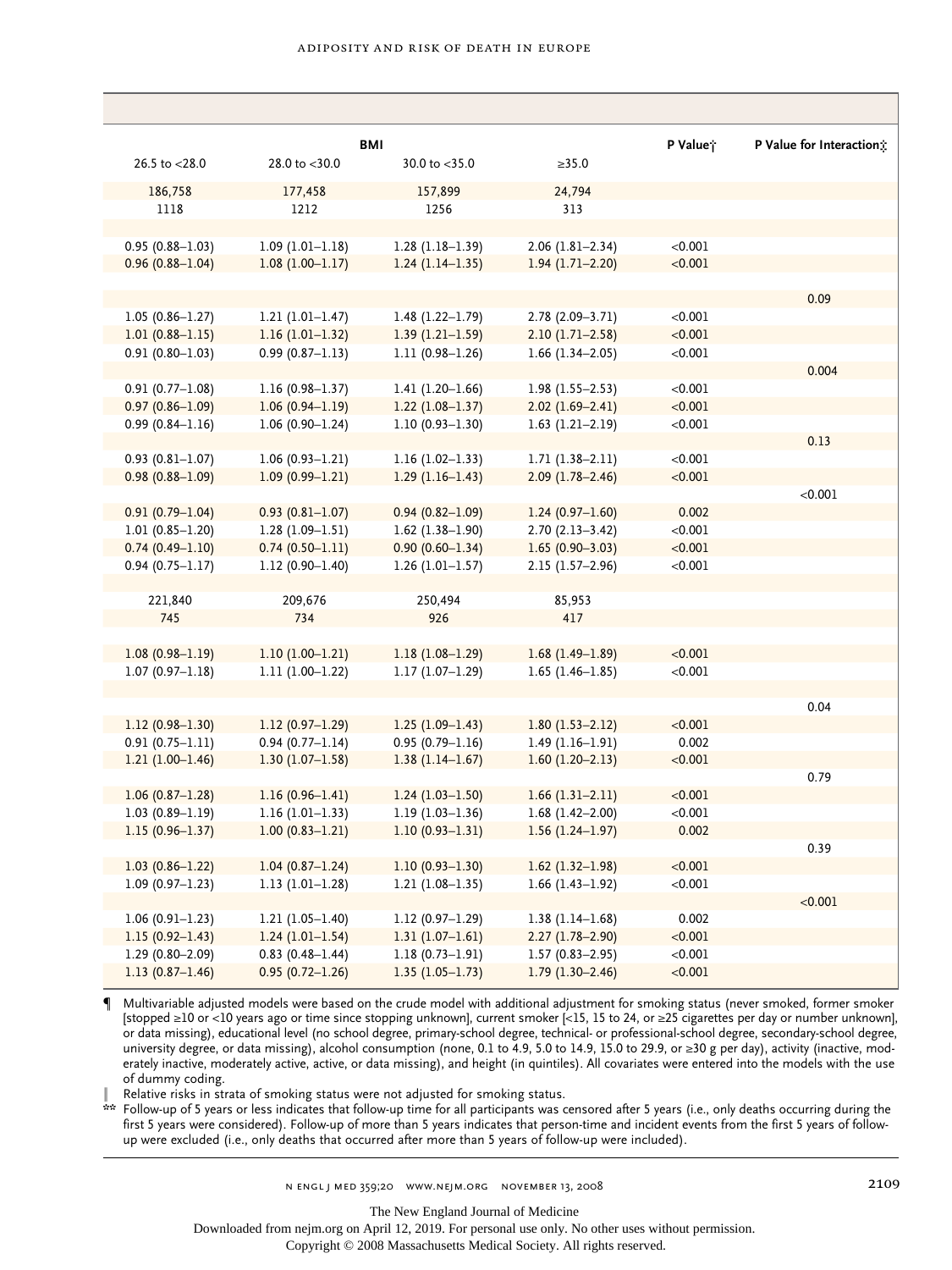|                     | BMI                 |                     |                     | P Value <sup>*</sup> | P Value for Interaction: |
|---------------------|---------------------|---------------------|---------------------|----------------------|--------------------------|
| 26.5 to <28.0       | 28.0 to <30.0       | 30.0 to <35.0       | $\geq 35.0$         |                      |                          |
| 186,758             | 177,458             | 157,899             | 24,794              |                      |                          |
| 1118                | 1212                | 1256                | 313                 |                      |                          |
|                     |                     |                     |                     |                      |                          |
| $0.95(0.88 - 1.03)$ | $1.09(1.01-1.18)$   | $1.28(1.18-1.39)$   | $2.06(1.81-2.34)$   | < 0.001              |                          |
| $0.96(0.88 - 1.04)$ | $1.08(1.00-1.17)$   | $1.24$ (1.14-1.35)  | $1.94(1.71-2.20)$   | < 0.001              |                          |
|                     |                     |                     |                     |                      |                          |
|                     |                     |                     |                     |                      | 0.09                     |
| $1.05(0.86 - 1.27)$ | $1.21(1.01-1.47)$   | $1.48(1.22 - 1.79)$ | $2.78(2.09 - 3.71)$ | < 0.001              |                          |
| $1.01(0.88 - 1.15)$ | $1.16(1.01-1.32)$   | $1.39(1.21-1.59)$   | $2.10(1.71 - 2.58)$ | < 0.001              |                          |
| $0.91(0.80 - 1.03)$ | $0.99(0.87 - 1.13)$ | $1.11(0.98 - 1.26)$ | $1.66$ (1.34-2.05)  | < 0.001              |                          |
|                     |                     |                     |                     |                      | 0.004                    |
| $0.91(0.77 - 1.08)$ | $1.16(0.98 - 1.37)$ | $1.41(1.20-1.66)$   | $1.98(1.55 - 2.53)$ | < 0.001              |                          |
| $0.97(0.86 - 1.09)$ | $1.06(0.94 - 1.19)$ | $1.22(1.08-1.37)$   | $2.02(1.69 - 2.41)$ | < 0.001              |                          |
| $0.99(0.84 - 1.16)$ | $1.06(0.90 - 1.24)$ | $1.10(0.93 - 1.30)$ | $1.63$ (1.21-2.19)  | < 0.001              |                          |
|                     |                     |                     |                     |                      | 0.13                     |
| $0.93(0.81 - 1.07)$ | $1.06(0.93 - 1.21)$ | $1.16(1.02 - 1.33)$ | $1.71(1.38 - 2.11)$ | < 0.001              |                          |
| $0.98(0.88 - 1.09)$ | $1.09(0.99 - 1.21)$ | $1.29(1.16-1.43)$   | $2.09(1.78 - 2.46)$ | < 0.001              |                          |
|                     |                     |                     |                     |                      | < 0.001                  |
| $0.91(0.79 - 1.04)$ | $0.93(0.81 - 1.07)$ | $0.94(0.82 - 1.09)$ | $1.24(0.97-1.60)$   | 0.002                |                          |
| $1.01(0.85 - 1.20)$ | $1.28(1.09-1.51)$   | $1.62$ (1.38-1.90)  | $2.70(2.13 - 3.42)$ | < 0.001              |                          |
| $0.74(0.49-1.10)$   | $0.74(0.50 - 1.11)$ | $0.90(0.60 - 1.34)$ | $1.65(0.90-3.03)$   | < 0.001              |                          |
| $0.94(0.75 - 1.17)$ | $1.12(0.90 - 1.40)$ | $1.26(1.01-1.57)$   | 2.15 (1.57-2.96)    | < 0.001              |                          |
| 221,840             | 209,676             | 250,494             | 85,953              |                      |                          |
| 745                 | 734                 | 926                 | 417                 |                      |                          |
|                     |                     |                     |                     |                      |                          |
| $1.08(0.98 - 1.19)$ | $1.10(1.00-1.21)$   | $1.18(1.08-1.29)$   | $1.68(1.49-1.89)$   | < 0.001              |                          |
| $1.07(0.97 - 1.18)$ | $1.11(1.00-1.22)$   | $1.17(1.07-1.29)$   | $1.65(1.46-1.85)$   | < 0.001              |                          |
|                     |                     |                     |                     |                      |                          |
|                     |                     |                     |                     |                      | 0.04                     |
| $1.12(0.98 - 1.30)$ | $1.12(0.97 - 1.29)$ | $1.25(1.09-1.43)$   | $1.80(1.53 - 2.12)$ | < 0.001              |                          |
| $0.91(0.75 - 1.11)$ | $0.94(0.77 - 1.14)$ | $0.95(0.79 - 1.16)$ | $1.49(1.16-1.91)$   | 0.002                |                          |
| $1.21(1.00-1.46)$   | $1.30(1.07-1.58)$   | $1.38(1.14-1.67)$   | $1.60(1.20-2.13)$   | < 0.001              |                          |
|                     |                     |                     |                     |                      | 0.79                     |
| $1.06(0.87 - 1.28)$ | $1.16(0.96 - 1.41)$ | $1.24(1.03 - 1.50)$ | $1.66(1.31-2.11)$   | < 0.001              |                          |
| $1.03(0.89 - 1.19)$ | $1.16(1.01-1.33)$   | $1.19(1.03 - 1.36)$ | $1.68(1.42 - 2.00)$ | < 0.001              |                          |
| $1.15(0.96 - 1.37)$ | $1.00(0.83 - 1.21)$ | $1.10(0.93 - 1.31)$ | $1.56(1.24 - 1.97)$ | 0.002                |                          |
|                     |                     |                     |                     |                      | 0.39                     |
| $1.03(0.86 - 1.22)$ | $1.04(0.87 - 1.24)$ | $1.10(0.93 - 1.30)$ | $1.62$ (1.32-1.98)  | < 0.001              |                          |
| $1.09(0.97-1.23)$   | $1.13(1.01-1.28)$   | $1.21(1.08-1.35)$   | $1.66$ (1.43-1.92)  | < 0.001              |                          |
|                     |                     |                     |                     |                      | < 0.001                  |
| $1.06(0.91-1.23)$   | $1.21(1.05-1.40)$   | $1.12(0.97-1.29)$   | $1.38(1.14-1.68)$   | 0.002                |                          |
| $1.15(0.92 - 1.43)$ | $1.24(1.01-1.54)$   | $1.31(1.07-1.61)$   | $2.27(1.78-2.90)$   | < 0.001              |                          |
| $1.29(0.80 - 2.09)$ | $0.83$ (0.48-1.44)  | $1.18(0.73 - 1.91)$ | $1.57(0.83 - 2.95)$ | < 0.001              |                          |
| $1.13(0.87 - 1.46)$ | $0.95(0.72 - 1.26)$ | $1.35(1.05-1.73)$   | $1.79(1.30 - 2.46)$ | < 0.001              |                          |

¶ Multivariable adjusted models were based on the crude model with additional adjustment for smoking status (never smoked, former smoker [stopped ≥10 or <10 years ago or time since stopping unknown], current smoker [<15, 15 to 24, or ≥25 cigarettes per day or number unknown], or data missing), educational level (no school degree, primary-school degree, technical- or professional-school degree, secondary-school degree, university degree, or data missing), alcohol consumption (none, 0.1 to 4.9, 5.0 to 14.9, 15.0 to 29.9, or ≥30 g per day), activity (inactive, moderately inactive, moderately active, active, or data missing), and height (in quintiles). All covariates were entered into the models with the use of dummy coding.

‖Relative risks in strata of smoking status were not adjusted for smoking status.

Follow-up of 5 years or less indicates that follow-up time for all participants was censored after 5 years (i.e., only deaths occurring during the first 5 years were considered). Follow-up of more than 5 years indicates that person-time and incident events from the first 5 years of followup were excluded (i.e., only deaths that occurred after more than 5 years of follow-up were included).

The New England Journal of Medicine

Downloaded from nejm.org on April 12, 2019. For personal use only. No other uses without permission.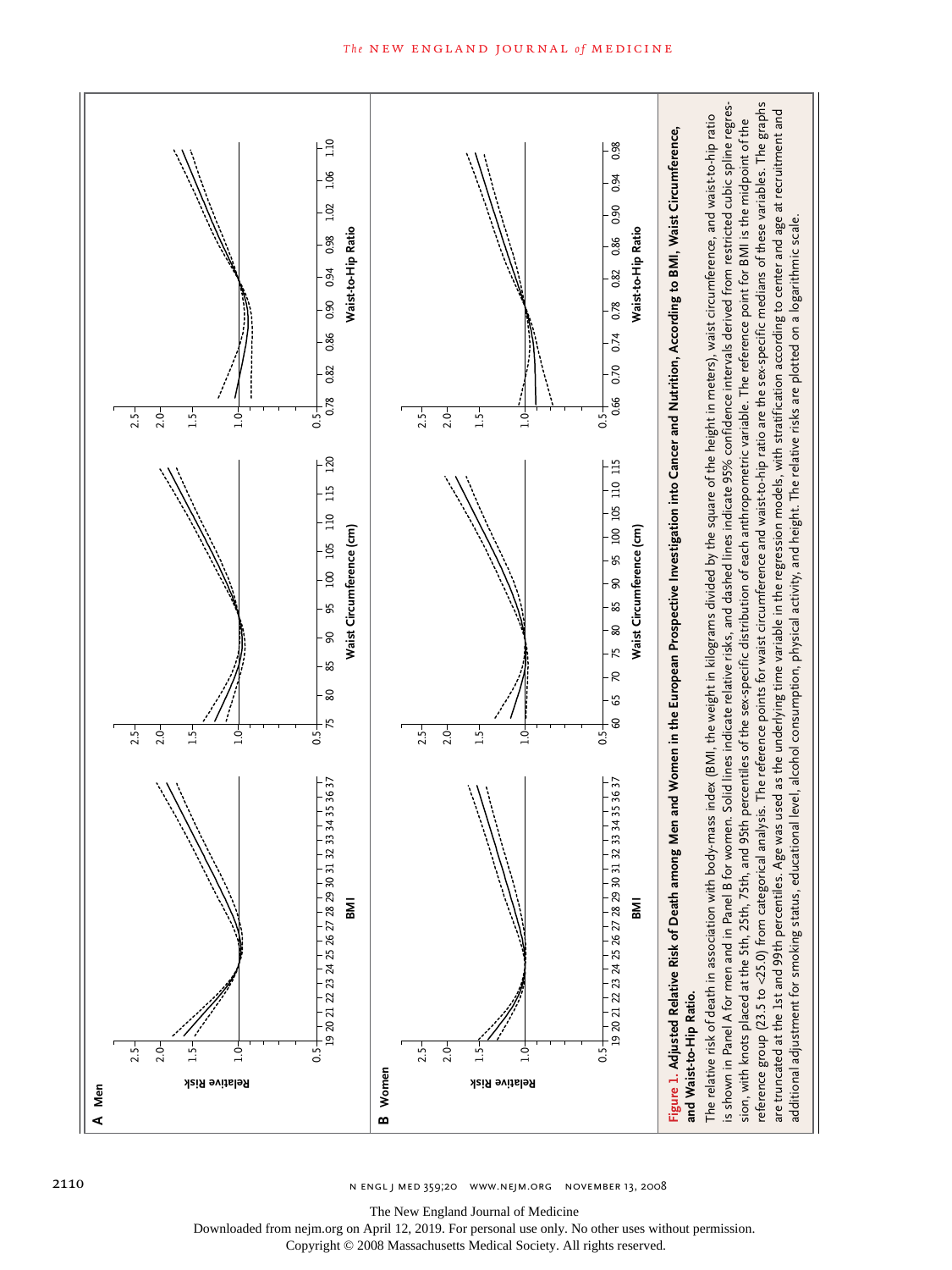

2110 **NET SERVICE STATE SERVICE 2110** N ENGL J MED 359;20 WWW.NEJM.ORG NOVEMBER 13, 2008

The New England Journal of Medicine

Downloaded from nejm.org on April 12, 2019. For personal use only. No other uses without permission.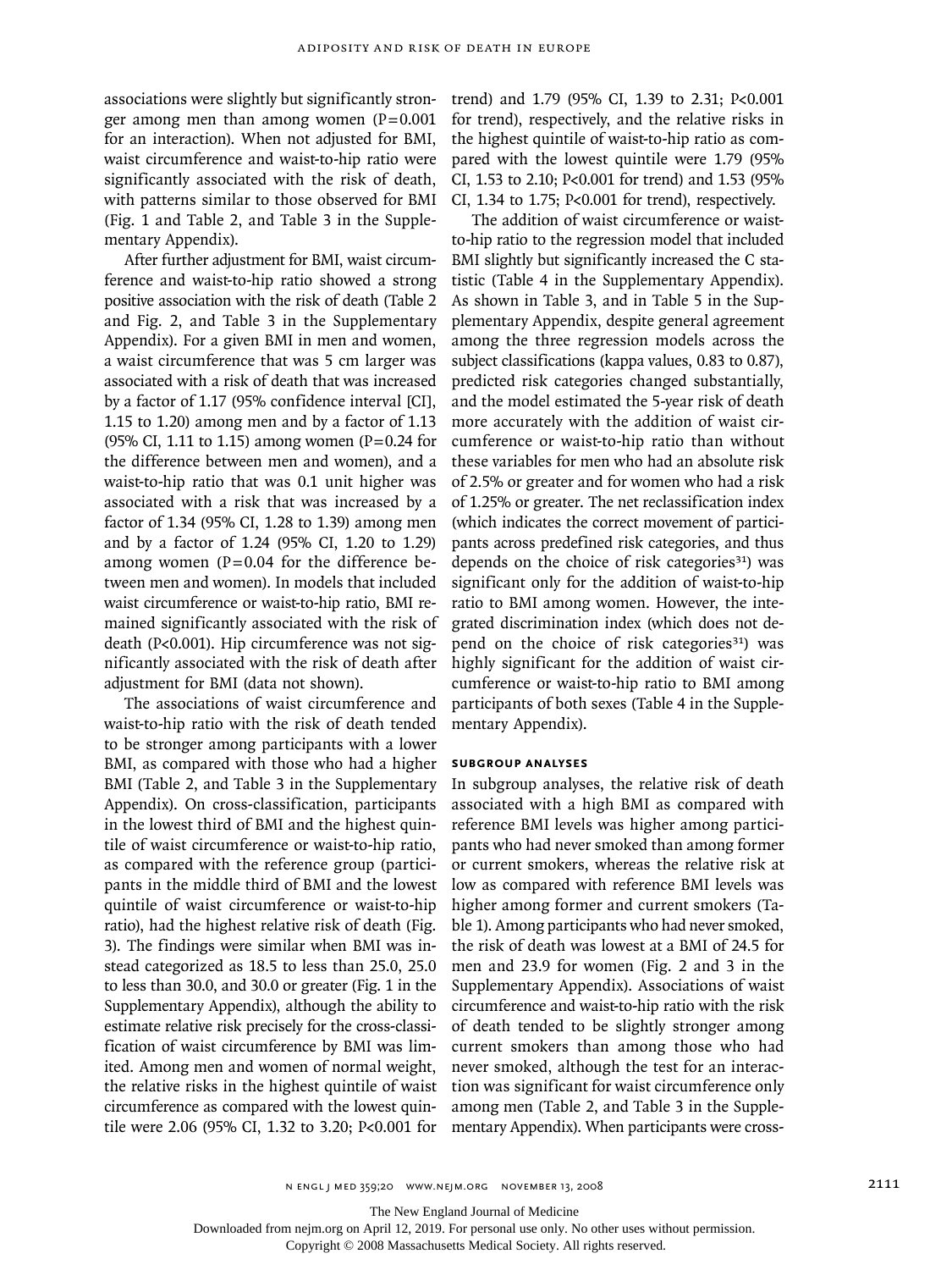associations were slightly but significantly stronger among men than among women  $(P=0.001$ for an interaction). When not adjusted for BMI, waist circumference and waist-to-hip ratio were significantly associated with the risk of death, with patterns similar to those observed for BMI (Fig. 1 and Table 2, and Table 3 in the Supplementary Appendix).

After further adjustment for BMI, waist circumference and waist-to-hip ratio showed a strong positive association with the risk of death (Table 2 and Fig. 2, and Table 3 in the Supplementary Appendix). For a given BMI in men and women, a waist circumference that was 5 cm larger was associated with a risk of death that was increased by a factor of 1.17 (95% confidence interval [CI], 1.15 to 1.20) among men and by a factor of 1.13 (95% CI, 1.11 to 1.15) among women (P=0.24 for the difference between men and women), and a waist-to-hip ratio that was 0.1 unit higher was associated with a risk that was increased by a factor of 1.34 (95% CI, 1.28 to 1.39) among men and by a factor of 1.24 (95% CI, 1.20 to 1.29) among women  $(P=0.04)$  for the difference between men and women). In models that included waist circumference or waist-to-hip ratio, BMI remained significantly associated with the risk of death (P<0.001). Hip circumference was not significantly associated with the risk of death after adjustment for BMI (data not shown).

The associations of waist circumference and waist-to-hip ratio with the risk of death tended to be stronger among participants with a lower BMI, as compared with those who had a higher BMI (Table 2, and Table 3 in the Supplementary Appendix). On cross-classification, participants in the lowest third of BMI and the highest quintile of waist circumference or waist-to-hip ratio, as compared with the reference group (participants in the middle third of BMI and the lowest quintile of waist circumference or waist-to-hip ratio), had the highest relative risk of death (Fig. 3). The findings were similar when BMI was instead categorized as 18.5 to less than 25.0, 25.0 to less than 30.0, and 30.0 or greater (Fig. 1 in the Supplementary Appendix), although the ability to estimate relative risk precisely for the cross-classification of waist circumference by BMI was limited. Among men and women of normal weight, the relative risks in the highest quintile of waist circumference as compared with the lowest quintile were 2.06 (95% CI, 1.32 to 3.20; P<0.001 for trend) and 1.79 (95% CI, 1.39 to 2.31; P<0.001 for trend), respectively, and the relative risks in the highest quintile of waist-to-hip ratio as compared with the lowest quintile were 1.79 (95% CI, 1.53 to 2.10; P<0.001 for trend) and 1.53 (95% CI, 1.34 to 1.75; P<0.001 for trend), respectively.

The addition of waist circumference or waistto-hip ratio to the regression model that included BMI slightly but significantly increased the C statistic (Table 4 in the Supplementary Appendix). As shown in Table 3, and in Table 5 in the Supplementary Appendix, despite general agreement among the three regression models across the subject classifications (kappa values, 0.83 to 0.87), predicted risk categories changed substantially, and the model estimated the 5-year risk of death more accurately with the addition of waist circumference or waist-to-hip ratio than without these variables for men who had an absolute risk of 2.5% or greater and for women who had a risk of 1.25% or greater. The net reclassification index (which indicates the correct movement of participants across predefined risk categories, and thus depends on the choice of risk categories $31$ ) was significant only for the addition of waist-to-hip ratio to BMI among women. However, the integrated discrimination index (which does not depend on the choice of risk categories<sup>31</sup>) was highly significant for the addition of waist circumference or waist-to-hip ratio to BMI among participants of both sexes (Table 4 in the Supplementary Appendix).

### **Subgroup Analyses**

In subgroup analyses, the relative risk of death associated with a high BMI as compared with reference BMI levels was higher among participants who had never smoked than among former or current smokers, whereas the relative risk at low as compared with reference BMI levels was higher among former and current smokers (Table 1). Among participants who had never smoked, the risk of death was lowest at a BMI of 24.5 for men and 23.9 for women (Fig. 2 and 3 in the Supplementary Appendix). Associations of waist circumference and waist-to-hip ratio with the risk of death tended to be slightly stronger among current smokers than among those who had never smoked, although the test for an interaction was significant for waist circumference only among men (Table 2, and Table 3 in the Supplementary Appendix). When participants were cross-

The New England Journal of Medicine

Downloaded from nejm.org on April 12, 2019. For personal use only. No other uses without permission.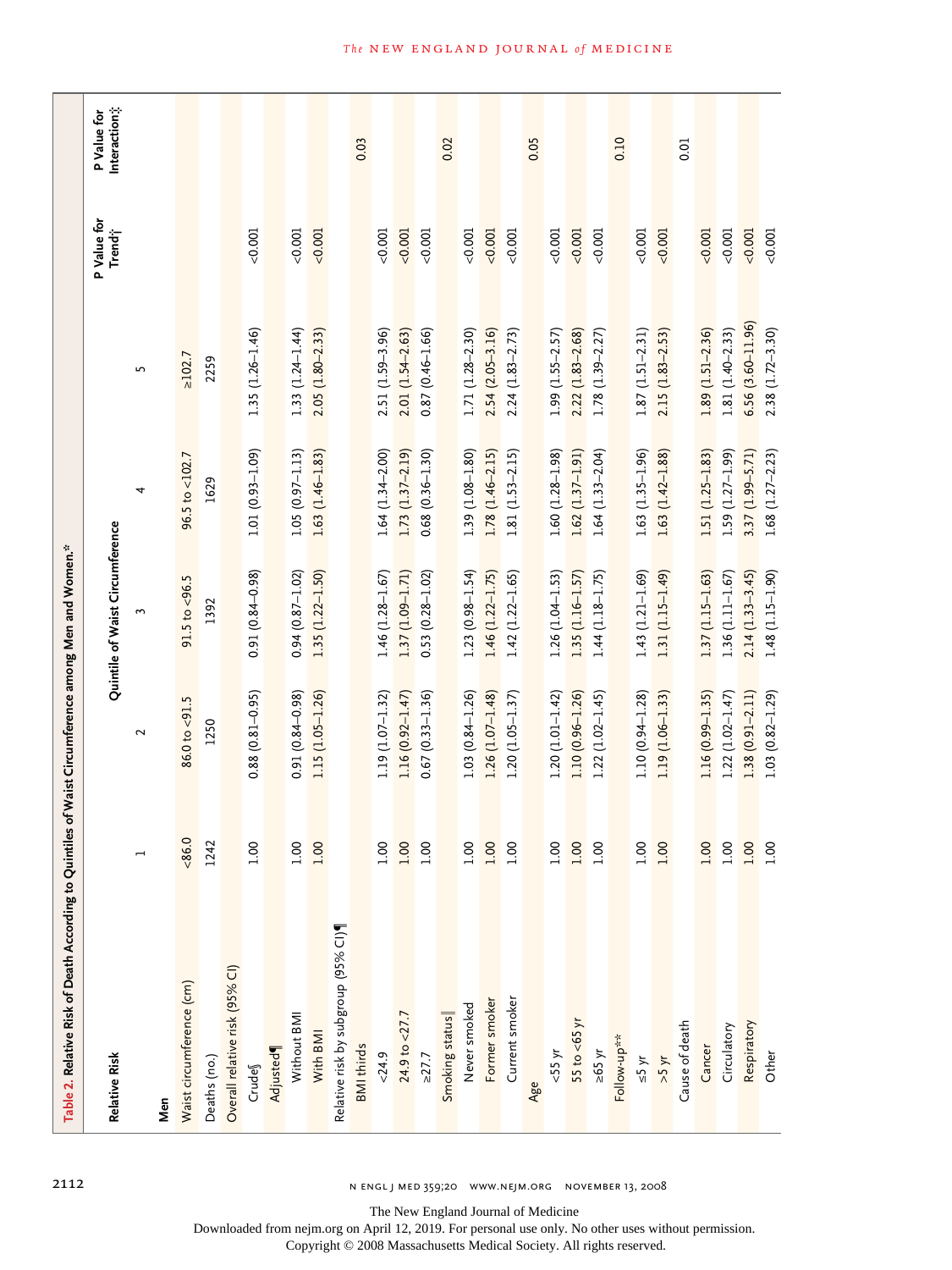| Table 2. Relative Risk of Death According to Quintiles of Waist Circumference among Men and Women.* |                |                        |                                 |                        |                        |                       |                             |
|-----------------------------------------------------------------------------------------------------|----------------|------------------------|---------------------------------|------------------------|------------------------|-----------------------|-----------------------------|
| Relative Risk                                                                                       |                |                        | Quintile of Waist Circumference |                        |                        | P Value for<br>Trend† | Interaction:<br>P Value for |
| Men                                                                                                 |                | 2                      | 3                               | 4                      | S                      |                       |                             |
| Waist circumference (cm)                                                                            | 386.0          | 86.0 to <91.5          | $91.5$ to $< 96.5$              | 96.5 to <102.7         | $\geq 102.7$           |                       |                             |
| Deaths (no.)                                                                                        | 1242           | 1250                   | 1392                            | 1629                   | 2259                   |                       |                             |
| Overall relative risk (95% Cl)                                                                      |                |                        |                                 |                        |                        |                       |                             |
| Crude                                                                                               | 1.00           | $0.88(0.81 - 0.95)$    | $0.91(0.84 - 0.98)$             | $1.01(0.93 - 1.09)$    | $1.35(1.26 - 1.46)$    | 0.001                 |                             |
| <b>Adjusted</b>                                                                                     |                |                        |                                 |                        |                        |                       |                             |
| Without BMI                                                                                         | 1.00           | $0.91(0.84 - 0.98)$    | $0.94(0.87 - 1.02)$             | $1.05(0.97 - 1.13)$    | $1.33(1.24 - 1.44)$    | 0.001                 |                             |
| With BMI                                                                                            | $00^{1}$       | $1.15(1.05 - 1.26)$    | $1.35(1.22 - 1.50)$             | $1.63(1.46-1.83)$      | $2.05$ $(1.80 - 2.33)$ | 0.001                 |                             |
| Relative risk by subgroup (95% CI)                                                                  |                |                        |                                 |                        |                        |                       |                             |
| <b>BMI</b> thirds                                                                                   |                |                        |                                 |                        |                        |                       | 0.03                        |
| 5.424.9                                                                                             | 1.00           | $1.19(1.07 - 1.32)$    | $1.46$ $(1.28 - 1.67)$          | $1.64(1.34 - 2.00)$    | 2.51 (1.59-3.96)       | 0.001                 |                             |
| 24.9 to <27.7                                                                                       | 1.00           | $1.16(0.92 - 1.47)$    | $1.37(1.09-1.71)$               | $1.73(1.37 - 2.19)$    | $2.01(1.54 - 2.63)$    | 0.001                 |                             |
| $\geq 27.7$                                                                                         | $-1.00$        | $0.67(0.33 - 1.36)$    | $0.53(0.28 - 1.02)$             | $0.68(0.36 - 1.30)$    | $0.87(0.46 - 1.66)$    | 0.001                 |                             |
| Smoking status                                                                                      |                |                        |                                 |                        |                        |                       | 0.02                        |
| Never smoked                                                                                        | 1.00           | $1.03$ $(0.84 - 1.26)$ | $1.23(0.98 - 1.54)$             | $1.39(1.08 - 1.80)$    | $1.71(1.28 - 2.30)$    | 0.001                 |                             |
| Former smoker                                                                                       | 1.00           | $1.26(1.07 - 1.48)$    | $1.46$ $(1.22 - 1.75)$          | $1.78(1.46 - 2.15)$    | $2.54(2.05 - 3.16)$    | 0.001                 |                             |
| Current smoker                                                                                      | 1.00           | $1.20(1.05-1.37)$      | $1.42$ $(1.22 - 1.65)$          | $1.81(1.53 - 2.15)$    | $2.24(1.83 - 2.73)$    | 0.001                 |                             |
| Age                                                                                                 |                |                        |                                 |                        |                        |                       | 0.05                        |
| $<$ 55 yr                                                                                           | 1.00           | $1.20(1.01 - 1.42)$    | $1.26(1.04 - 1.53)$             | $1.60(1.28 - 1.98)$    | $1.99(1.55 - 2.57)$    | 0.001                 |                             |
| $55$ to $<65$ yr                                                                                    | 1.00           | $1.10(0.96 - 1.26)$    | $1.35(1.16 - 1.57)$             | $1.62$ $(1.37 - 1.91)$ | $2.22(1.83 - 2.68)$    | 0.001                 |                             |
| $\geq 65 \, yr$                                                                                     | 1.00           | $1.22(1.02 - 1.45)$    | $1.44(1.18 - 1.75)$             | $1.64(1.33 - 2.04)$    | $1.78$ $(1.39 - 2.27)$ | 0.001                 |                             |
| Follow-up**                                                                                         |                |                        |                                 |                        |                        |                       | 0.10                        |
| $\leq$ 5 yr                                                                                         | $\overline{5}$ | $1.10(0.94 - 1.28)$    | $1.43(1.21-1.69)$               | $1.63$ $(1.35-1.96)$   | $1.87(1.51 - 2.31)$    | 0.001                 |                             |
| >5 yr                                                                                               | 1.00           | $1.19(1.06-1.33)$      | $1.31(1.15-1.49)$               | $1.63(1.42 - 1.88)$    | $2.15(1.83 - 2.53)$    | 0.001                 |                             |
| Cause of death                                                                                      |                |                        |                                 |                        |                        |                       | 0.01                        |
| Cancer                                                                                              | 1.00           | $1.16(0.99 - 1.35)$    | $1.37(1.15 - 1.63)$             | $1.51(1.25 - 1.83)$    | $1.89(1.51 - 2.36)$    | 0.001                 |                             |
| Circulatory                                                                                         | 1.00           | $1.22(1.02 - 1.47)$    | $1.36(1.11-1.67)$               | $1.59(1.27-1.99)$      | $1.81(1.40-2.33)$      | 0.001                 |                             |
| Respiratory                                                                                         | 1.00           | $1.38(0.91 - 2.11)$    | $2.14(1.33 - 3.45)$             | $3.37(1.99 - 5.71)$    | $6.56(3.60 - 11.96)$   | 0.001                 |                             |
| Other                                                                                               | $\frac{5}{10}$ | $1.03$ $(0.82 - 1.29)$ | $1.48$ $(1.15-1.90)$            | $1.68$ $(1.27 - 2.23)$ | $2.38$ (1.72-3.30)     | 0.001                 |                             |

The New England Journal of Medicine

Downloaded from nejm.org on April 12, 2019. For personal use only. No other uses without permission.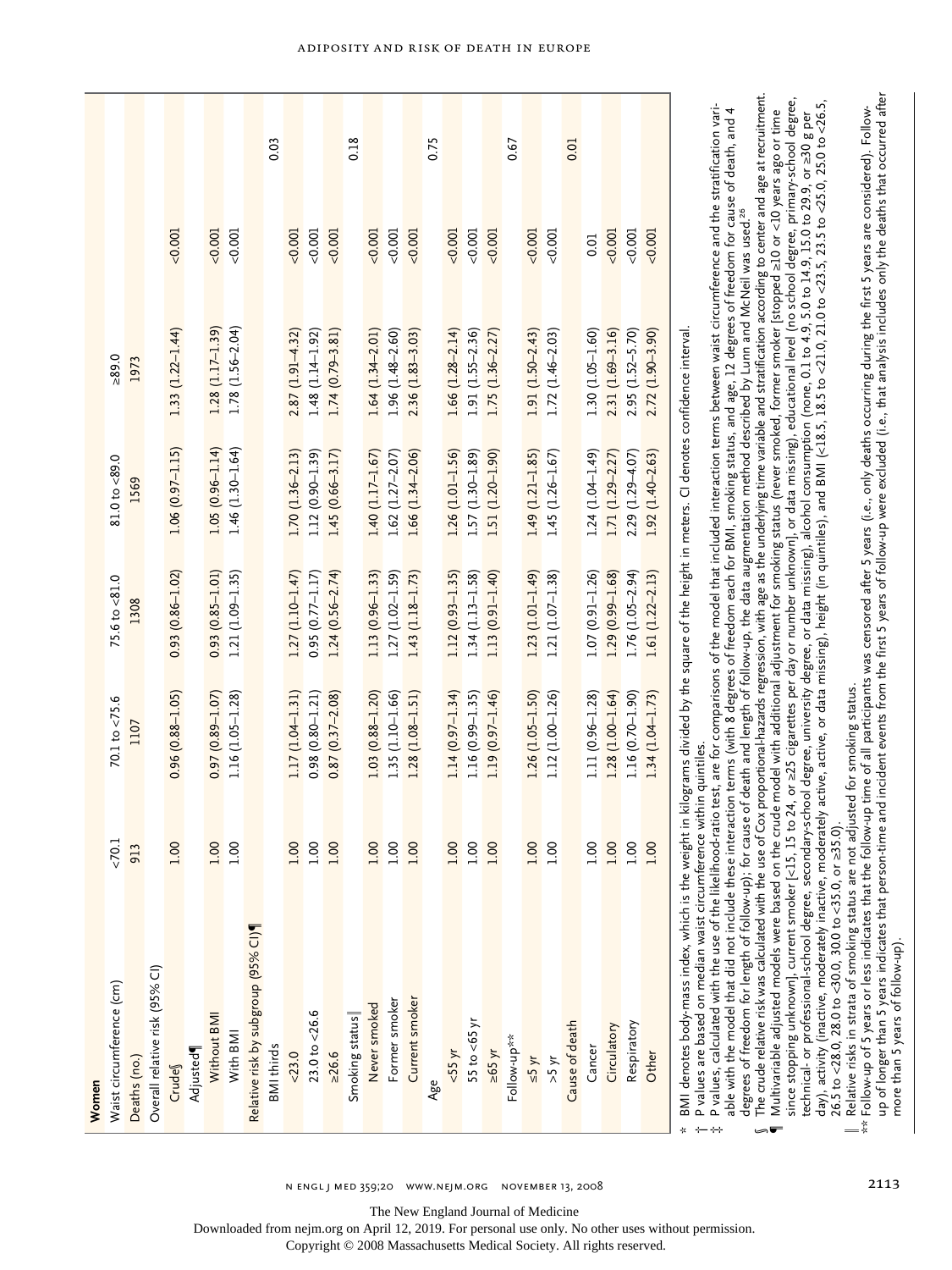| Women                                                                                                                                       |                |                        |                        |                        |                         |          |      |
|---------------------------------------------------------------------------------------------------------------------------------------------|----------------|------------------------|------------------------|------------------------|-------------------------|----------|------|
| Waist circumference (cm)                                                                                                                    | < 70.1         | 70.1 to <75.6          | 75.6 to <81.0          | 81.0 to <89.0          | > 89.0                  |          |      |
| Deaths (no.)                                                                                                                                | 913            | 1107                   | 1308                   | 1569                   | 1973                    |          |      |
| Overall relative risk (95% Cl)                                                                                                              |                |                        |                        |                        |                         |          |      |
| Crude                                                                                                                                       | $\overline{0}$ | $0.96$ $(0.88 - 1.05)$ | $0.93$ $(0.86 - 1.02)$ | $1.06(0.97 - 1.15)$    | $1.33(1.22 - 1.44)$     | 0.001    |      |
| Adjusted                                                                                                                                    |                |                        |                        |                        |                         |          |      |
| Without BMI                                                                                                                                 | $\overline{0}$ | $0.97(0.89 - 1.07)$    | $0.93(0.85 - 1.01)$    | $1.05(0.96 - 1.14)$    | $1.28(1.17-1.39)$       | 0.001    |      |
| With BMI                                                                                                                                    | S.             | $1.16(1.05 - 1.28)$    | $1.21(1.09-1.35)$      | $1.46(1.30 - 1.64)$    | $1.78$ $(1.56 - 2.04)$  | 0.001    |      |
| Relative risk by subgroup (95% CI)                                                                                                          |                |                        |                        |                        |                         |          |      |
| <b>BMI</b> thirds                                                                                                                           |                |                        |                        |                        |                         |          | 0.03 |
| < 23.0                                                                                                                                      | $\overline{0}$ | $1.17(1.04 - 1.31)$    | $1.27(1.10 - 1.47)$    | $1.70(1.36 - 2.13)$    | $2.87(1.91 - 4.32)$     | 0.001    |      |
| 23.0 to < 26.6                                                                                                                              | $\overline{0}$ | $0.98(0.80 - 1.21)$    | $0.95(0.77 - 1.17)$    | $1.12(0.90 - 1.39)$    | $1.48(1.14-1.92)$       | $-0.001$ |      |
| $\geq 26.6$                                                                                                                                 | 00             | $0.87(0.37 - 2.08)$    | $1.24(0.56 - 2.74)$    | $1.45(0.66 - 3.17)$    | $1.74(0.79 - 3.81)$     | 0.001    |      |
| Smoking status                                                                                                                              |                |                        |                        |                        |                         |          | 0.18 |
| Never smoked                                                                                                                                | $\overline{0}$ | $1.03(0.88 - 1.20)$    | $1.13(0.96 - 1.33)$    | $1.40(1.17 - 1.67)$    | $1.64(1.34 - 2.01)$     | 0.001    |      |
| Former smoker                                                                                                                               | O.             | $1.35(1.10 - 1.66)$    | $1.27(1.02 - 1.59)$    | $1.62$ $(1.27 - 2.07)$ | $1.96(1.48 - 2.60)$     | 0.001    |      |
| Current smoker                                                                                                                              | $\overline{0}$ | $1.28(1.08 - 1.51)$    | $1.43(1.18 - 1.73)$    | $1.66(1.34 - 2.06)$    | $2.36(1.83 - 3.03)$     | 0.001    |      |
| Age                                                                                                                                         |                |                        |                        |                        |                         |          | 0.75 |
| 55 yr                                                                                                                                       | 00             | $1.14(0.97 - 1.34)$    | $1.12(0.93 - 1.35)$    | $1.26(1.01 - 1.56)$    | $1.66$ $(1.28 - 2.14)$  | 0.001    |      |
| $55$ to $<65$ yr                                                                                                                            | O.             | $1.16(0.99 - 1.35)$    | $1.34(1.13 - 1.58)$    | $1.57(1.30 - 1.89)$    | $1.91(1.55 - 2.36)$     | 0.001    |      |
| >65 yr                                                                                                                                      | $\overline{0}$ | $1.19(0.97 - 1.46)$    | $1.13(0.91 - 1.40)$    | $1.51(1.20-1.90)$      | $1.75$ $(1.36 - 2.27)$  | 0.001    |      |
| Follow-up**                                                                                                                                 |                |                        |                        |                        |                         |          | 0.67 |
| $\leq$ 5 yr                                                                                                                                 | $\overline{0}$ | 1.26 (1.05-1.50)       | $1.23(1.01-1.49)$      | $1.49$ $(1.21 - 1.85)$ | $1.91(1.50 - 2.43)$     | 0.001    |      |
| >5 yr                                                                                                                                       | O.             | $1.12(1.00 - 1.26)$    | $1.21(1.07 - 1.38)$    | $1.45(1.26 - 1.67)$    | $1.72$ $(1.46 - 2.03)$  | 0.001    |      |
| Cause of death                                                                                                                              |                |                        |                        |                        |                         |          | 0.01 |
| Cancer                                                                                                                                      | S.             | $1.11(0.96 - 1.28)$    | $1.07(0.91 - 1.26)$    | $1.24$ $(1.04 - 1.49)$ | $1.30(1.05 - 1.60)$     | 0.01     |      |
| Circulatory                                                                                                                                 | $\overline{0}$ | $1.28(1.00 - 1.64)$    | $1.29(0.99 - 1.68)$    | $1.71(1.29 - 2.27)$    | $2.31(1.69 - 3.16)$     | 0.001    |      |
| Respiratory                                                                                                                                 | $\overline{0}$ | $1.16(0.70 - 1.90)$    | $1.76$ $(1.05 - 2.94)$ | 2.29 (1.29-4.07)       | 2.95 (1.52-5.70)        | 0.001    |      |
| Other                                                                                                                                       | $\overline{0}$ | $1.34(1.04-1.73)$      | $1.61(1.22 - 2.13)$    | $1.92(1.40 - 2.63)$    | $(1.90 - 3.90)$<br>2.72 | 0.001    |      |
| BMI denotes body-mass index, which is the weight in kilograms divided by the square of the height in meters. CI denotes confidence interval |                |                        |                        |                        |                         |          |      |

P values are based on median waist circumference within quintiles.

P values, calculated with the use of the likelihood-ratio test, are for comparisons of the model that included interaction terms between waist circumference and the stratification vari- P values, calculated with the use of the likelihood-ratio test, are for comparisons of the model that included interaction terms between waist circumference and the stratification variable with the model that did not include these interaction terms (with 8 degrees of freedom each for BMI, smoking status, and age, 12 degrees of freedom for cause of death, and 4 P values are based on median waist circumference within quintiles. †‡

The crude relative risk was calculated with the use of Cox proportional hazards regression, with age as the underlying time variable and stratification according to center and age at recruitment.  $\mathfrak{g}$  The crude relative risk was calculated with the use of Cox proportional-hazards regression, with age as the underlying time variable and stratification according to center and age at recruitment. able with the model that did not include these interaction terms (with 8 degrees of freedom each for BMI, smoking status, and age, 12 degrees of freedom for cause of death, and 4 degrees of freedom for length of follow-up); for cause of death and length of follow-up, the data augmentation method described by Lunn and McNeil was used.<sup>26</sup> degrees of freedom for length of follow-up); for cause of death and length of follow-up, the data augmentation method described by Lunn and McNeil was used.26

since stopping unknown], current smoker [<15, 15 to 24, or ≥25 cigarettes per day or number unknown], or data missing), educational level (no school degree, primary-school degree, day), activity (inactive, moderately inactive, moderately active, active, or data missing), height (in quintiles), and BMI (<18.5, 18.5 to <21.0, 21.0 to <23.5, 23.5 to <25.0, 25.0 to <26.5, since stopping unknown], current smoker [<15, 15 to 24, or =25 cigarettes per day or number unknown], or data missing), educational level (no school degree, primary-school degree, day), activity (inactive, moderately inactive, moderately active, are data missing), height (in quintiles), and BMI (<18.5, 18.5 to <21.0, 21.0 to <23.5, 23.5 to <25.0, 25.0 to <26.5, Multivariable adjusted models were based on the crude model with additional adjustment for smoking status (never smoked, former smoker [stopped ≥10 or <10 years ago or time Multivariable adjusted models were based on the crude model with additional adjustment for smoking status (never smoked, former smoker [stopped ≥10 or <10 years ago or time technical- or professional-school degree, secondary-school degree, university degree, or data missing), alcohol consumption (none, 0.1 to 4.9, 5.0 to 14.9, 15.0 to 29.9, or ≥30 g per technical- or professional-school degree, secondary-school degree, university degree, or data missing), alcohol consumption (none, 0.1 to 4.9, 5.0 to 14.9, 15.0 to 29.9, or ≥30 g per ¶§

Relative risks in strata of smoking status are not adjusted for smoking status. Relative risks in strata of smoking status are not adjusted for smoking status. 26.5 to <28.0, 28.0 to <30.0, 30.0 to <35.0, or  $\geq$ 35.0). 26.5 to <28.0, 28.0 to <30.0, 30.0 to <35.0, or ≥35.0).

up of longer than 5 years indicates that person-time and incident events from the first 5 years of follow-up were excluded (i.e., that analysis includes only the deaths that occurred after up of longer than 5 years indicates that person-time and incident events from the first 5 years of follow-up were excluded (i.e., that analysis includes only the deaths that occurred after Follow-up of 5 years or less indicates that the follow-up time of all participants was censored after 5 years (i.e., only deaths occurring during the first 5 years are considered). Follow-\*\* Follow-up of 5 years or less indicates that the follow-up time of all participants was censored after 5 years (i.e., only deaths occurring during the first 5 years are considered). Followmore than 5 years of follow-up). more than 5 years of follow-up).

The New England Journal of Medicine

Downloaded from nejm.org on April 12, 2019. For personal use only. No other uses without permission.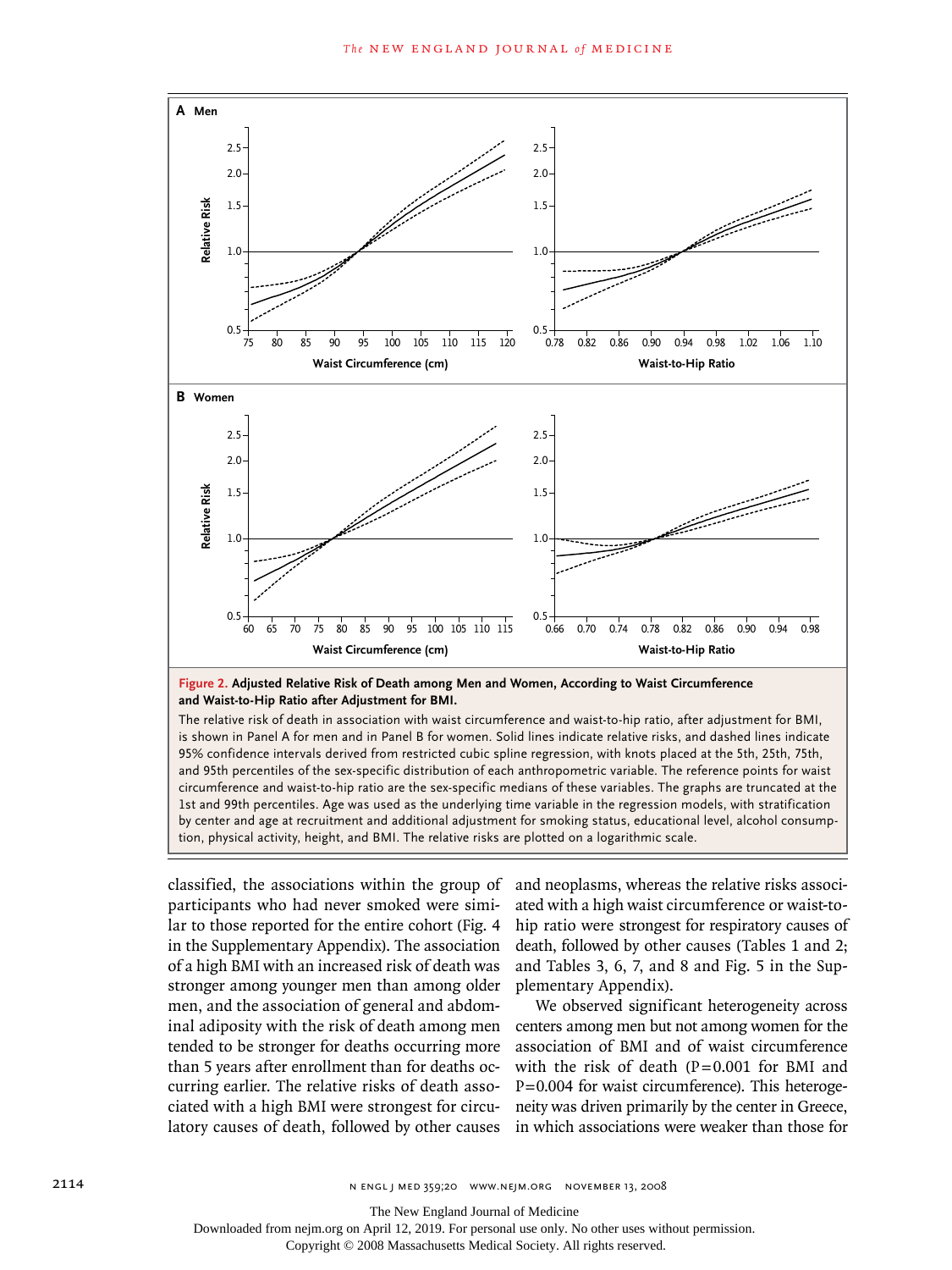

and Waist-to-Hip Ratio after Adjustment for **BMI. Figure 2. Adjusted Relative Risk of Death among Men and Women, According to Waist Circumference** 

and 95th percentiles of the sex-specific distribution of each anthropometric variable. The reference points for waist The relative risk of death in association with waist circumference and waist-to-hip ratio, after adjustment for BMI, 95% confidence intervals derived from restricted cubic spline regression, with knots placed at the 5th, 25th, 75th, is shown in Panel A for men and in Panel B for women. Solid lines indicate relative risks, and dashed lines indicate and but percenties of the sex specific enstitution of each antihopolitetic variables. The reference points for waist<br>Circumference and waist-to-hip ratio are the sex-specific medians of these variables. The graphs are trun 1st and 99th percentiles. Age was used as the underlying time variable in the regression models, with stratification by center and age at recruitment and additional adjustment for smoking status, educational level, alcohol consumption, physical activity, height, and BMI. The relative risks are plotted on a logarithmic scale.

35920 ISSUE:

classified, the associations within the group of participants who had never smoked were similar to those reported for the entire cohort (Fig. 4 in the Supplementary Appendix). The association of a high BMI with an increased risk of death was stronger among younger men than among older men, and the association of general and abdominal adiposity with the risk of death among men centers among men but not among women for the tended to be stronger for deaths occurring more than 5 years after enrollment than for deaths occurring earlier. The relative risks of death associated with a high BMI were strongest for circulatory causes of death, followed by other causes

 $\overline{\phantom{0}}$ 

and neoplasms, whereas the relative risks associated with a high waist circumference or waist-tohip ratio were strongest for respiratory causes of death, followed by other causes (Tables 1 and 2; and Tables 3, 6, 7, and 8 and Fig. 5 in the Supplementary Appendix).

11-13-08

We observed significant heterogeneity across association of BMI and of waist circumference with the risk of death  $(P=0.001$  for BMI and  $P=0.004$  for waist circumference). This heterogeneity was driven primarily by the center in Greece, in which associations were weaker than those for

The New England Journal of Medicine

Downloaded from nejm.org on April 12, 2019. For personal use only. No other uses without permission.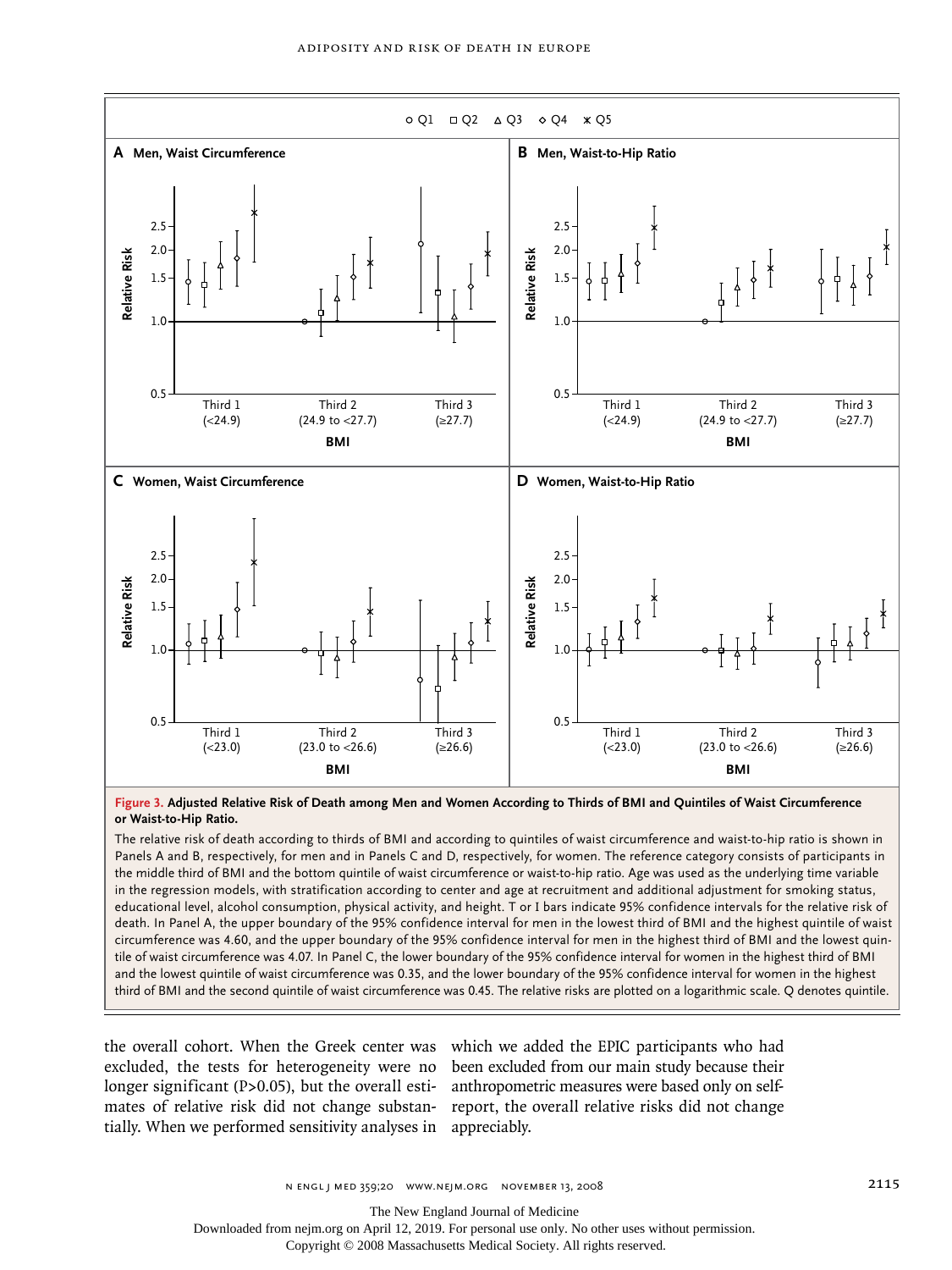

**Figure 3. Adjusted Relative Risk of Death among Men and Women According to Thirds of BMI and Quintiles of Waist Circumference or Waist-to-Hip Ratio.**

educational level, alcohol consumption, physical activity, and height. T or I bars indicate 95% confidence intervals for the relative risk of s of BMI and according to quintiles of waist circumferent third of BMI and the second quintile of waist circumference was 0.45. The relative risks are plotted on a logarithmic scale. Q denotes quintile.<br>. the regression models, with stratification according to center and age at recruitment and additional adjustment for smoking status, the middle third of BMI and the bottom quintile of waist circumference or waist-to-hip ratio. Age was used as the underlying time variable Combo death. In Panel A, the upper boundary of the 95% confidence interval for men in the lowest third of BMI and the highest quintile of waist circumference was 4.60, and the upper boundary of the 95% confidence interval for men in the highest third of BMI and the lowest quin-**Figure 1999 Figure 1999 Figure 1999 Figure 1999 Please check carefully.** tile of waist circumference was 4.07. In Panel C, the lower boundary of the 95% confidence interval for women in the highest third of BMI Panels A and B, respectively, for men and in Panels C and D, respectively, for women. The reference category consists of participants in The relative risk of death according to thirds of BMI and according to quintiles of waist circumference and waist-to-hip ratio is shown in and the lowest quintile of waist circumference was 0.35, and the lower boundary of the 95% confidence interval for women in the highest

the overall cohort. When the Greek center was which we added the EPIC participants who had excluded, the tests for heterogeneity were no been excluded from our main study because their longer significant (P>0.05), but the overall esti- anthropometric measures were based only on selfmates of relative risk did not change substantially. When we performed sensitivity analyses in appreciably.

report, the overall relative risks did not change

The New England Journal of Medicine

Downloaded from nejm.org on April 12, 2019. For personal use only. No other uses without permission.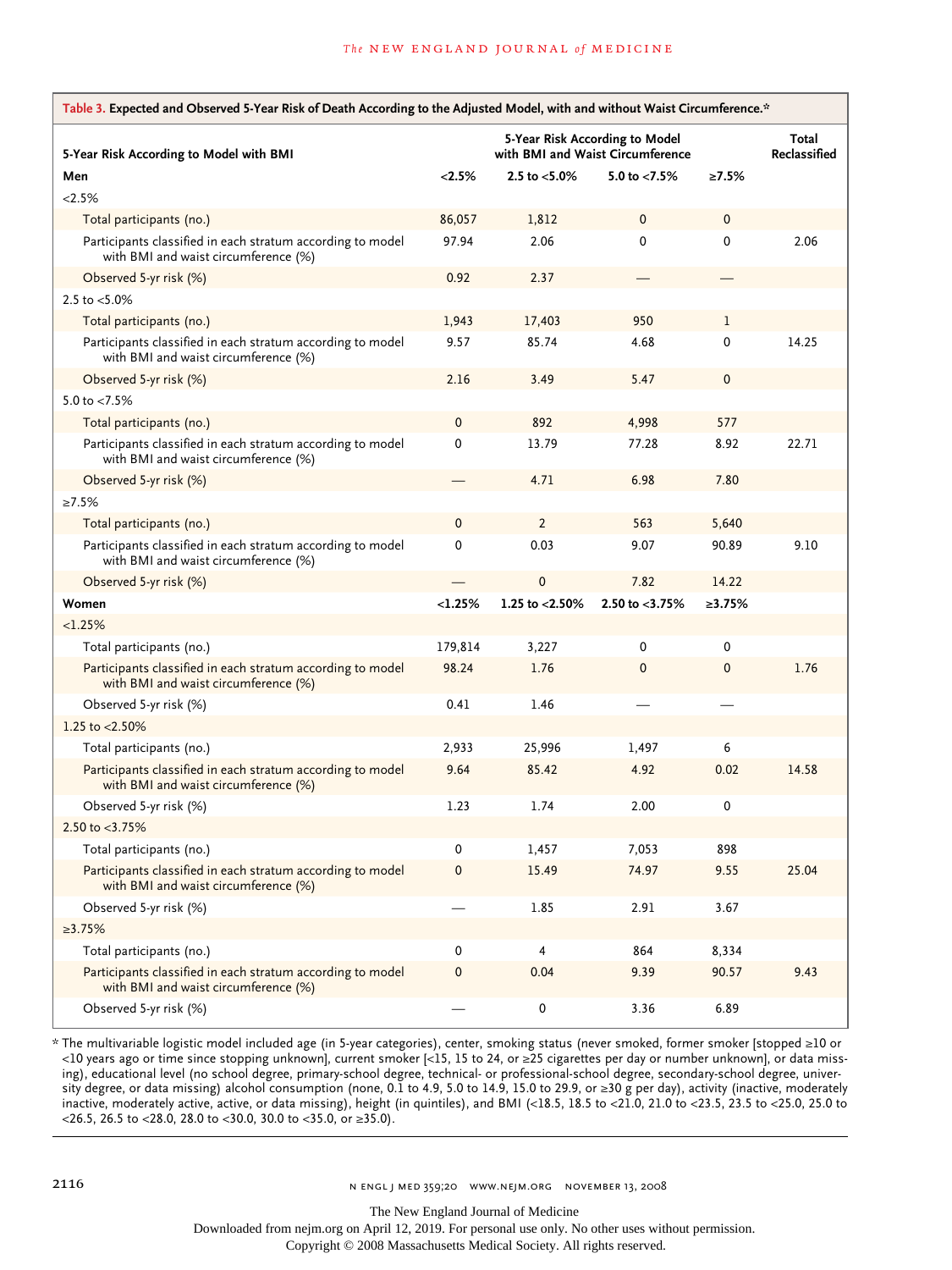| Table 3. Expected and Observed 5-Year Risk of Death According to the Adjusted Model, with and without Waist Circumference.* |              |                                                                    |                   |               |                       |
|-----------------------------------------------------------------------------------------------------------------------------|--------------|--------------------------------------------------------------------|-------------------|---------------|-----------------------|
| 5-Year Risk According to Model with BMI                                                                                     |              | 5-Year Risk According to Model<br>with BMI and Waist Circumference |                   |               | Total<br>Reclassified |
| Men                                                                                                                         | < 2.5%       | 2.5 to <5.0%                                                       | 5.0 to $< 7.5\%$  | ≥7.5%         |                       |
| 2.5%                                                                                                                        |              |                                                                    |                   |               |                       |
| Total participants (no.)                                                                                                    | 86,057       | 1,812                                                              | $\mathbf 0$       | $\mathbf 0$   |                       |
| Participants classified in each stratum according to model<br>with BMI and waist circumference (%)                          | 97.94        | 2.06                                                               | $\Omega$          | $\mathbf 0$   | 2.06                  |
| Observed 5-yr risk (%)                                                                                                      | 0.92         | 2.37                                                               |                   |               |                       |
| 2.5 to $<$ 5.0%                                                                                                             |              |                                                                    |                   |               |                       |
| Total participants (no.)                                                                                                    | 1,943        | 17,403                                                             | 950               | $\mathbf{1}$  |                       |
| Participants classified in each stratum according to model<br>with BMI and waist circumference (%)                          | 9.57         | 85.74                                                              | 4.68              | $\mathbf 0$   | 14.25                 |
| Observed 5-yr risk (%)                                                                                                      | 2.16         | 3.49                                                               | 5.47              | $\mathbf 0$   |                       |
| 5.0 to $< 7.5\%$                                                                                                            |              |                                                                    |                   |               |                       |
| Total participants (no.)                                                                                                    | 0            | 892                                                                | 4,998             | 577           |                       |
| Participants classified in each stratum according to model<br>with BMI and waist circumference (%)                          | $\mathbf 0$  | 13.79                                                              | 77.28             | 8.92          | 22.71                 |
| Observed 5-yr risk (%)                                                                                                      |              | 4.71                                                               | 6.98              | 7.80          |                       |
| $\ge 7.5\%$                                                                                                                 |              |                                                                    |                   |               |                       |
| Total participants (no.)                                                                                                    | $\mathbf{0}$ | $\overline{2}$                                                     | 563               | 5,640         |                       |
| Participants classified in each stratum according to model<br>with BMI and waist circumference (%)                          | $\mathbf 0$  | 0.03                                                               | 9.07              | 90.89         | 9.10                  |
| Observed 5-yr risk (%)                                                                                                      |              | $\mathbf{0}$                                                       | 7.82              | 14.22         |                       |
| Women                                                                                                                       | <1.25%       | 1.25 to <2.50%                                                     | 2.50 to $<$ 3.75% | $\geq 3.75\%$ |                       |
| <1.25%                                                                                                                      |              |                                                                    |                   |               |                       |
| Total participants (no.)                                                                                                    | 179,814      | 3,227                                                              | 0                 | 0             |                       |
| Participants classified in each stratum according to model<br>with BMI and waist circumference (%)                          | 98.24        | 1.76                                                               | $\mathbf{0}$      | $\mathbf 0$   | 1.76                  |
| Observed 5-yr risk (%)                                                                                                      | 0.41         | 1.46                                                               |                   |               |                       |
| 1.25 to <2.50%                                                                                                              |              |                                                                    |                   |               |                       |
| Total participants (no.)                                                                                                    | 2,933        | 25,996                                                             | 1,497             | 6             |                       |
| Participants classified in each stratum according to model<br>with BMI and waist circumference (%)                          | 9.64         | 85.42                                                              | 4.92              | 0.02          | 14.58                 |
| Observed 5-yr risk (%)                                                                                                      | 1.23         | 1.74                                                               | 2.00              | 0             |                       |
| 2.50 to $<$ 3.75%                                                                                                           |              |                                                                    |                   |               |                       |
| Total participants (no.)                                                                                                    | 0            | 1,457                                                              | 7,053             | 898           |                       |
| Participants classified in each stratum according to model<br>with BMI and waist circumference (%)                          | 0            | 15.49                                                              | 74.97             | 9.55          | 25.04                 |
| Observed 5-yr risk (%)                                                                                                      |              | 1.85                                                               | 2.91              | 3.67          |                       |
| $\geq 3.75\%$                                                                                                               |              |                                                                    |                   |               |                       |
| Total participants (no.)                                                                                                    | 0            | 4                                                                  | 864               | 8,334         |                       |
| Participants classified in each stratum according to model<br>with BMI and waist circumference (%)                          | 0            | 0.04                                                               | 9.39              | 90.57         | 9.43                  |
| Observed 5-yr risk (%)                                                                                                      |              | 0                                                                  | 3.36              | 6.89          |                       |

\* The multivariable logistic model included age (in 5-year categories), center, smoking status (never smoked, former smoker [stopped ≥10 or <10 years ago or time since stopping unknown], current smoker [<15, 15 to 24, or ≥25 cigarettes per day or number unknown], or data missing), educational level (no school degree, primary-school degree, technical- or professional-school degree, secondary-school degree, university degree, or data missing) alcohol consumption (none, 0.1 to 4.9, 5.0 to 14.9, 15.0 to 29.9, or ≥30 g per day), activity (inactive, moderately inactive, moderately active, active, or data missing), height (in quintiles), and BMI (<18.5, 18.5 to <21.0, 21.0 to <23.5, 23.5 to <25.0, 25.0 to <26.5, 26.5 to <28.0, 28.0 to <30.0, 30.0 to <35.0, or ≥35.0).

The New England Journal of Medicine

Downloaded from nejm.org on April 12, 2019. For personal use only. No other uses without permission.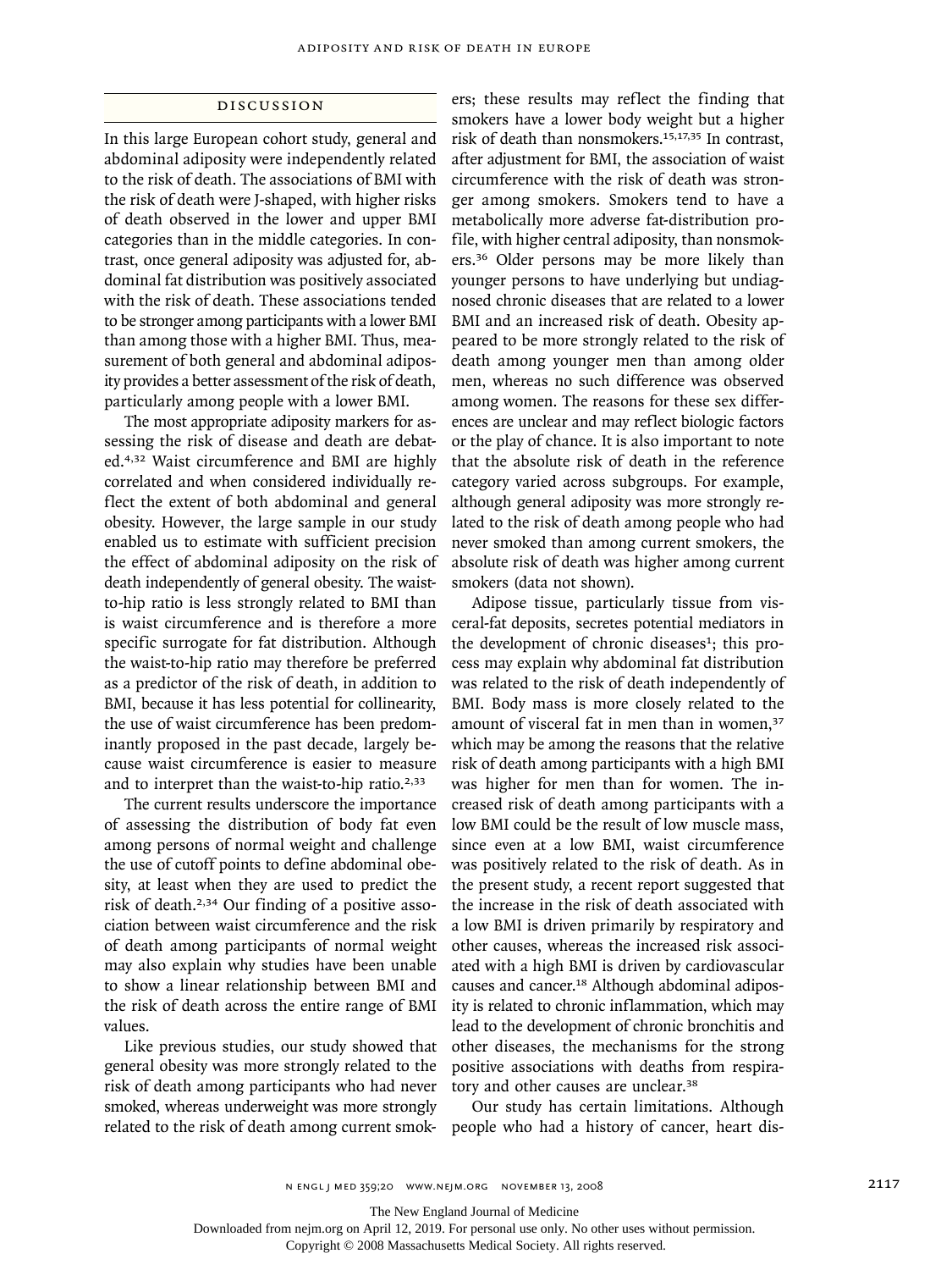# Discussion

In this large European cohort study, general and abdominal adiposity were independently related to the risk of death. The associations of BMI with the risk of death were J-shaped, with higher risks of death observed in the lower and upper BMI categories than in the middle categories. In contrast, once general adiposity was adjusted for, abdominal fat distribution was positively associated with the risk of death. These associations tended to be stronger among participants with a lower BMI than among those with a higher BMI. Thus, measurement of both general and abdominal adiposity provides a better assessment of the risk of death, particularly among people with a lower BMI.

The most appropriate adiposity markers for assessing the risk of disease and death are debated.4,32 Waist circumference and BMI are highly correlated and when considered individually reflect the extent of both abdominal and general obesity. However, the large sample in our study enabled us to estimate with sufficient precision the effect of abdominal adiposity on the risk of death independently of general obesity. The waistto-hip ratio is less strongly related to BMI than is waist circumference and is therefore a more specific surrogate for fat distribution. Although the waist-to-hip ratio may therefore be preferred as a predictor of the risk of death, in addition to BMI, because it has less potential for collinearity, the use of waist circumference has been predominantly proposed in the past decade, largely because waist circumference is easier to measure and to interpret than the waist-to-hip ratio.<sup>2,33</sup>

The current results underscore the importance of assessing the distribution of body fat even among persons of normal weight and challenge the use of cutoff points to define abdominal obesity, at least when they are used to predict the risk of death.2,34 Our finding of a positive association between waist circumference and the risk of death among participants of normal weight may also explain why studies have been unable to show a linear relationship between BMI and the risk of death across the entire range of BMI values.

Like previous studies, our study showed that general obesity was more strongly related to the risk of death among participants who had never smoked, whereas underweight was more strongly related to the risk of death among current smokers; these results may reflect the finding that smokers have a lower body weight but a higher risk of death than nonsmokers.15,17,35 In contrast, after adjustment for BMI, the association of waist circumference with the risk of death was stronger among smokers. Smokers tend to have a metabolically more adverse fat-distribution profile, with higher central adiposity, than nonsmokers.36 Older persons may be more likely than younger persons to have underlying but undiagnosed chronic diseases that are related to a lower BMI and an increased risk of death. Obesity appeared to be more strongly related to the risk of death among younger men than among older men, whereas no such difference was observed among women. The reasons for these sex differences are unclear and may reflect biologic factors or the play of chance. It is also important to note that the absolute risk of death in the reference category varied across subgroups. For example, although general adiposity was more strongly related to the risk of death among people who had never smoked than among current smokers, the absolute risk of death was higher among current smokers (data not shown).

Adipose tissue, particularly tissue from visceral-fat deposits, secretes potential mediators in the development of chronic diseases<sup>1</sup>; this process may explain why abdominal fat distribution was related to the risk of death independently of BMI. Body mass is more closely related to the amount of visceral fat in men than in women,<sup>37</sup> which may be among the reasons that the relative risk of death among participants with a high BMI was higher for men than for women. The increased risk of death among participants with a low BMI could be the result of low muscle mass, since even at a low BMI, waist circumference was positively related to the risk of death. As in the present study, a recent report suggested that the increase in the risk of death associated with a low BMI is driven primarily by respiratory and other causes, whereas the increased risk associated with a high BMI is driven by cardiovascular causes and cancer.18 Although abdominal adiposity is related to chronic inflammation, which may lead to the development of chronic bronchitis and other diseases, the mechanisms for the strong positive associations with deaths from respiratory and other causes are unclear.<sup>38</sup>

Our study has certain limitations. Although people who had a history of cancer, heart dis-

The New England Journal of Medicine

Downloaded from nejm.org on April 12, 2019. For personal use only. No other uses without permission.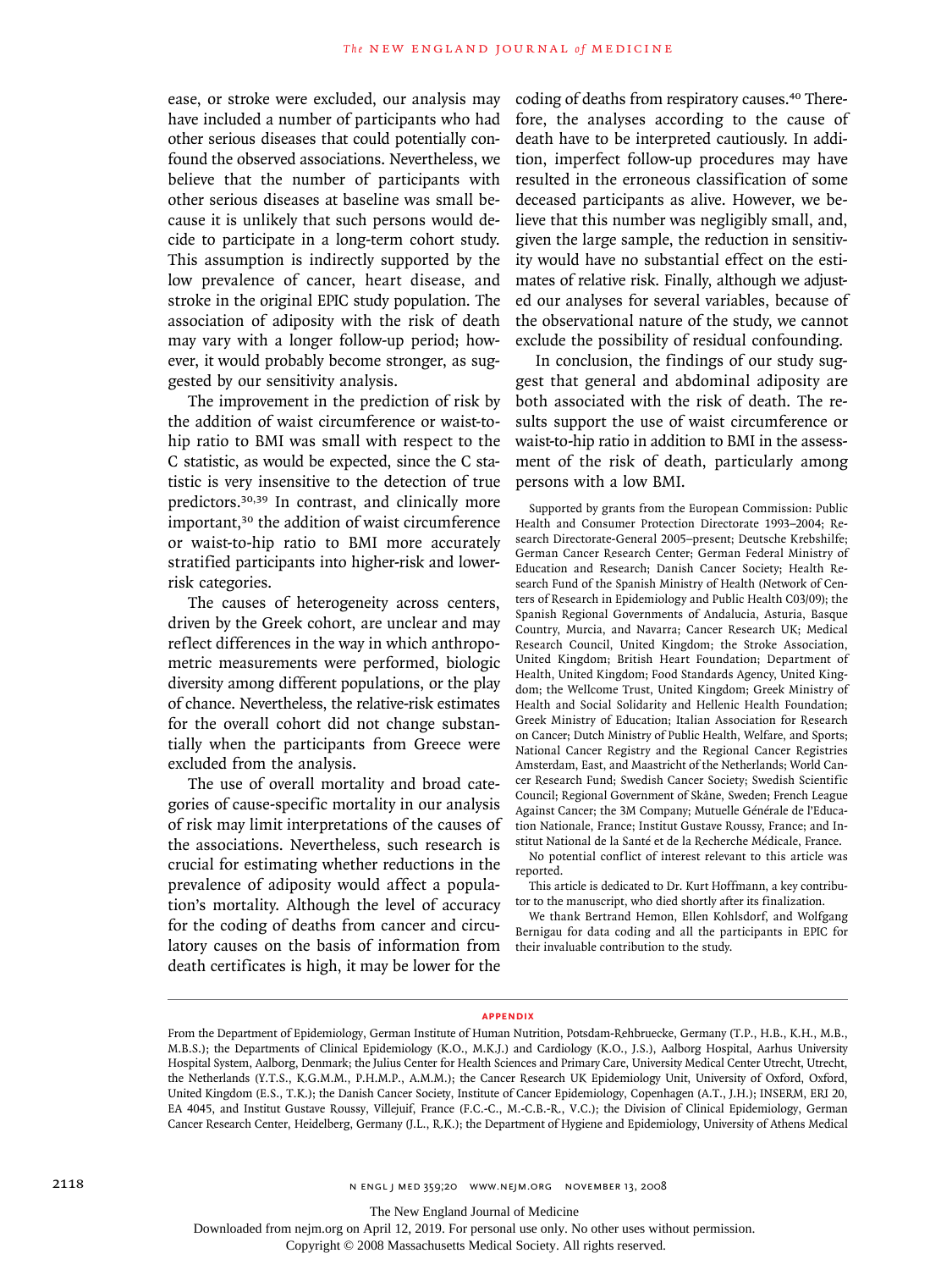ease, or stroke were excluded, our analysis may have included a number of participants who had other serious diseases that could potentially confound the observed associations. Nevertheless, we believe that the number of participants with other serious diseases at baseline was small because it is unlikely that such persons would decide to participate in a long-term cohort study. This assumption is indirectly supported by the low prevalence of cancer, heart disease, and stroke in the original EPIC study population. The association of adiposity with the risk of death may vary with a longer follow-up period; however, it would probably become stronger, as suggested by our sensitivity analysis.

The improvement in the prediction of risk by the addition of waist circumference or waist-tohip ratio to BMI was small with respect to the C statistic, as would be expected, since the C statistic is very insensitive to the detection of true predictors.30,39 In contrast, and clinically more important,<sup>30</sup> the addition of waist circumference or waist-to-hip ratio to BMI more accurately stratified participants into higher-risk and lowerrisk categories.

The causes of heterogeneity across centers, driven by the Greek cohort, are unclear and may reflect differences in the way in which anthropometric measurements were performed, biologic diversity among different populations, or the play of chance. Nevertheless, the relative-risk estimates for the overall cohort did not change substantially when the participants from Greece were excluded from the analysis.

The use of overall mortality and broad categories of cause-specific mortality in our analysis of risk may limit interpretations of the causes of the associations. Nevertheless, such research is crucial for estimating whether reductions in the prevalence of adiposity would affect a population's mortality. Although the level of accuracy for the coding of deaths from cancer and circulatory causes on the basis of information from death certificates is high, it may be lower for the

coding of deaths from respiratory causes.40 Therefore, the analyses according to the cause of death have to be interpreted cautiously. In addition, imperfect follow-up procedures may have resulted in the erroneous classification of some deceased participants as alive. However, we believe that this number was negligibly small, and, given the large sample, the reduction in sensitivity would have no substantial effect on the estimates of relative risk. Finally, although we adjusted our analyses for several variables, because of the observational nature of the study, we cannot exclude the possibility of residual confounding.

In conclusion, the findings of our study suggest that general and abdominal adiposity are both associated with the risk of death. The results support the use of waist circumference or waist-to-hip ratio in addition to BMI in the assessment of the risk of death, particularly among persons with a low BMI.

Supported by grants from the European Commission: Public Health and Consumer Protection Directorate 1993–2004; Research Directorate-General 2005–present; Deutsche Krebshilfe; German Cancer Research Center; German Federal Ministry of Education and Research; Danish Cancer Society; Health Research Fund of the Spanish Ministry of Health (Network of Centers of Research in Epidemiology and Public Health C03/09); the Spanish Regional Governments of Andalucia, Asturia, Basque Country, Murcia, and Navarra; Cancer Research UK; Medical Research Council, United Kingdom; the Stroke Association, United Kingdom; British Heart Foundation; Department of Health, United Kingdom; Food Standards Agency, United Kingdom; the Wellcome Trust, United Kingdom; Greek Ministry of Health and Social Solidarity and Hellenic Health Foundation; Greek Ministry of Education; Italian Association for Research on Cancer; Dutch Ministry of Public Health, Welfare, and Sports; National Cancer Registry and the Regional Cancer Registries Amsterdam, East, and Maastricht of the Netherlands; World Cancer Research Fund; Swedish Cancer Society; Swedish Scientific Council; Regional Government of Skåne, Sweden; French League Against Cancer; the 3M Company; Mutuelle Générale de l'Education Nationale, France; Institut Gustave Roussy, France; and Institut National de la Santé et de la Recherche Médicale, France.

No potential conflict of interest relevant to this article was reported.

This article is dedicated to Dr. Kurt Hoffmann, a key contributor to the manuscript, who died shortly after its finalization.

We thank Bertrand Hemon, Ellen Kohlsdorf, and Wolfgang Bernigau for data coding and all the participants in EPIC for their invaluable contribution to the study.

#### **Appendix**

The New England Journal of Medicine

Downloaded from nejm.org on April 12, 2019. For personal use only. No other uses without permission.

From the Department of Epidemiology, German Institute of Human Nutrition, Potsdam-Rehbruecke, Germany (T.P., H.B., K.H., M.B., M.B.S.); the Departments of Clinical Epidemiology (K.O., M.K.J.) and Cardiology (K.O., J.S.), Aalborg Hospital, Aarhus University Hospital System, Aalborg, Denmark; the Julius Center for Health Sciences and Primary Care, University Medical Center Utrecht, Utrecht, the Netherlands (Y.T.S., K.G.M.M., P.H.M.P., A.M.M.); the Cancer Research UK Epidemiology Unit, University of Oxford, Oxford, United Kingdom (E.S., T.K.); the Danish Cancer Society, Institute of Cancer Epidemiology, Copenhagen (A.T., J.H.); INSERM, ERI 20, EA 4045, and Institut Gustave Roussy, Villejuif, France (F.C.-C., M.-C.B.-R., V.C.); the Division of Clinical Epidemiology, German Cancer Research Center, Heidelberg, Germany (J.L., R.K.); the Department of Hygiene and Epidemiology, University of Athens Medical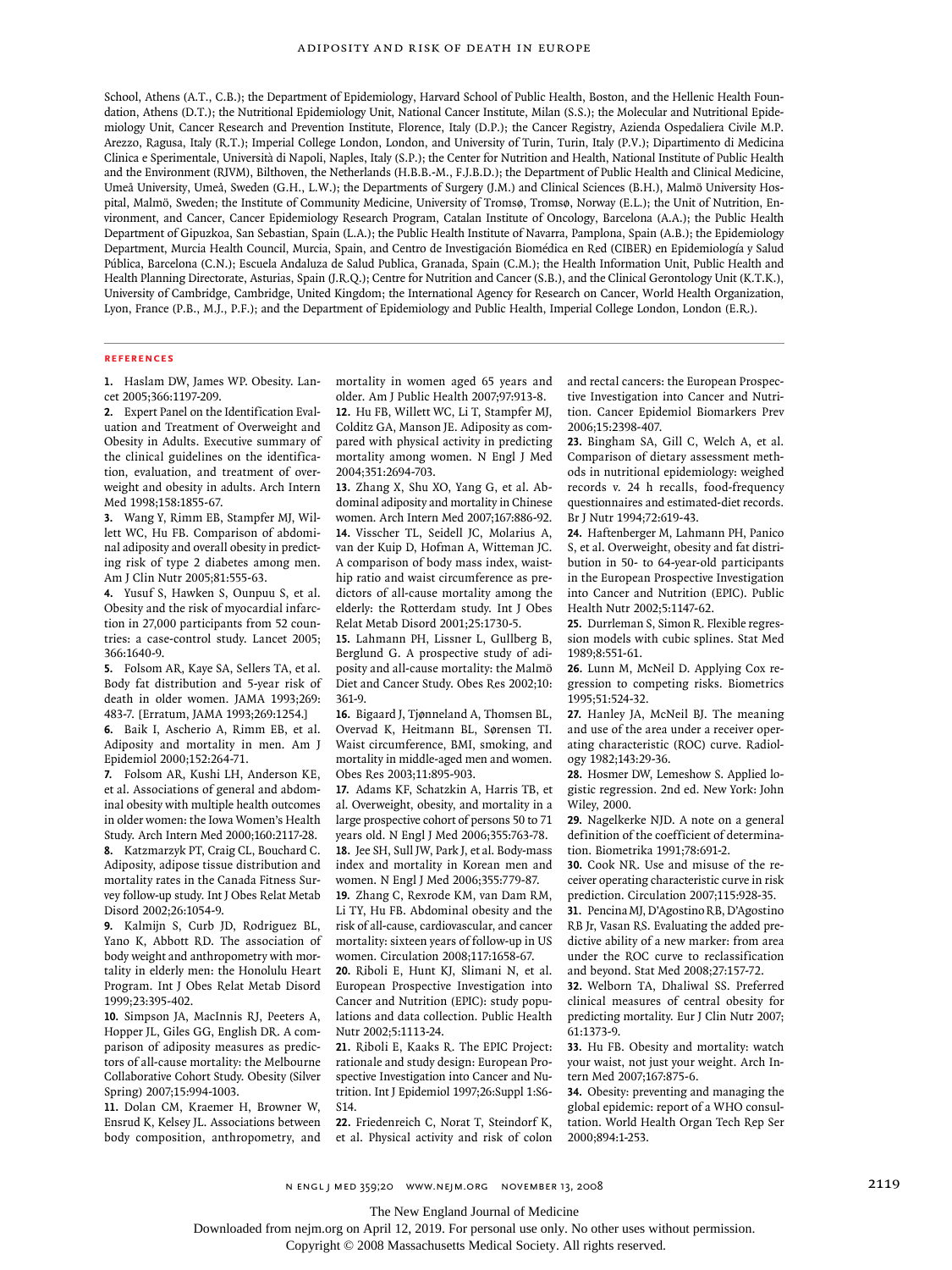School, Athens (A.T., C.B.); the Department of Epidemiology, Harvard School of Public Health, Boston, and the Hellenic Health Foundation, Athens (D.T.); the Nutritional Epidemiology Unit, National Cancer Institute, Milan (S.S.); the Molecular and Nutritional Epidemiology Unit, Cancer Research and Prevention Institute, Florence, Italy (D.P.); the Cancer Registry, Azienda Ospedaliera Civile M.P. Arezzo, Ragusa, Italy (R.T.); Imperial College London, London, and University of Turin, Turin, Italy (P.V.); Dipartimento di Medicina Clinica e Sperimentale, Università di Napoli, Naples, Italy (S.P.); the Center for Nutrition and Health, National Institute of Public Health and the Environment (RIVM), Bilthoven, the Netherlands (H.B.B.-M., F.J.B.D.); the Department of Public Health and Clinical Medicine, Umeå University, Umeå, Sweden (G.H., L.W.); the Departments of Surgery (J.M.) and Clinical Sciences (B.H.), Malmö University Hospital, Malmö, Sweden; the Institute of Community Medicine, University of Tromsø, Tromsø, Norway (E.L.); the Unit of Nutrition, Environment, and Cancer, Cancer Epidemiology Research Program, Catalan Institute of Oncology, Barcelona (A.A.); the Public Health Department of Gipuzkoa, San Sebastian, Spain (L.A.); the Public Health Institute of Navarra, Pamplona, Spain (A.B.); the Epidemiology Department, Murcia Health Council, Murcia, Spain, and Centro de Investigación Biomédica en Red (CIBER) en Epidemiología y Salud Pública, Barcelona (C.N.); Escuela Andaluza de Salud Publica, Granada, Spain (C.M.); the Health Information Unit, Public Health and Health Planning Directorate, Asturias, Spain (J.R.Q.); Centre for Nutrition and Cancer (S.B.), and the Clinical Gerontology Unit (K.T.K.), University of Cambridge, Cambridge, United Kingdom; the International Agency for Research on Cancer, World Health Organization, Lyon, France (P.B., M.J., P.F.); and the Department of Epidemiology and Public Health, Imperial College London, London (E.R.).

#### **References**

**1.** Haslam DW, James WP. Obesity. Lancet 2005;366:1197-209.

**2.** Expert Panel on the Identification Evaluation and Treatment of Overweight and Obesity in Adults. Executive summary of the clinical guidelines on the identification, evaluation, and treatment of overweight and obesity in adults. Arch Intern Med 1998;158:1855-67.

**3.** Wang Y, Rimm EB, Stampfer MJ, Willett WC, Hu FB. Comparison of abdominal adiposity and overall obesity in predicting risk of type 2 diabetes among men. Am J Clin Nutr 2005;81:555-63.

**4.** Yusuf S, Hawken S, Ounpuu S, et al. Obesity and the risk of myocardial infarction in 27,000 participants from 52 countries: a case-control study. Lancet 2005; 366:1640-9.

**5.** Folsom AR, Kaye SA, Sellers TA, et al. Body fat distribution and 5-year risk of death in older women. JAMA 1993;269: 483-7. [Erratum, JAMA 1993;269:1254.] **6.** Baik I, Ascherio A, Rimm EB, et al.

Adiposity and mortality in men. Am J Epidemiol 2000;152:264-71.

**7.** Folsom AR, Kushi LH, Anderson KE, et al. Associations of general and abdominal obesity with multiple health outcomes in older women: the Iowa Women's Health Study. Arch Intern Med 2000;160:2117-28.

**8.** Katzmarzyk PT, Craig CL, Bouchard C. Adiposity, adipose tissue distribution and mortality rates in the Canada Fitness Survey follow-up study. Int J Obes Relat Metab Disord 2002;26:1054-9.

**9.** Kalmijn S, Curb JD, Rodriguez BL, Yano K, Abbott RD. The association of body weight and anthropometry with mortality in elderly men: the Honolulu Heart Program. Int J Obes Relat Metab Disord 1999;23:395-402.

**10.** Simpson JA, MacInnis RJ, Peeters A, Hopper JL, Giles GG, English DR. A comparison of adiposity measures as predictors of all-cause mortality: the Melbourne Collaborative Cohort Study. Obesity (Silver Spring) 2007;15:994-1003.

**11.** Dolan CM, Kraemer H, Browner W, Ensrud K, Kelsey JL. Associations between body composition, anthropometry, and

mortality in women aged 65 years and older. Am J Public Health 2007;97:913-8. **12.** Hu FB, Willett WC, Li T, Stampfer MJ, Colditz GA, Manson JE. Adiposity as compared with physical activity in predicting mortality among women. N Engl J Med 2004;351:2694-703.

**13.** Zhang X, Shu XO, Yang G, et al. Abdominal adiposity and mortality in Chinese women. Arch Intern Med 2007;167:886-92. **14.** Visscher TL, Seidell JC, Molarius A, van der Kuip D, Hofman A, Witteman JC. A comparison of body mass index, waisthip ratio and waist circumference as predictors of all-cause mortality among the elderly: the Rotterdam study. Int J Obes Relat Metab Disord 2001;25:1730-5.

**15.** Lahmann PH, Lissner L, Gullberg B, Berglund G. A prospective study of adiposity and all-cause mortality: the Malmö Diet and Cancer Study. Obes Res 2002;10: 361-9.

**16.** Bigaard J, Tjønneland A, Thomsen BL, Overvad K, Heitmann BL, Sørensen TI. Waist circumference, BMI, smoking, and mortality in middle-aged men and women. Obes Res 2003;11:895-903.

**17.** Adams KF, Schatzkin A, Harris TB, et al. Overweight, obesity, and mortality in a large prospective cohort of persons 50 to 71 years old. N Engl J Med 2006;355:763-78. **18.** Jee SH, Sull JW, Park J, et al. Body-mass index and mortality in Korean men and women. N Engl J Med 2006;355:779-87.

**19.** Zhang C, Rexrode KM, van Dam RM, Li TY, Hu FB. Abdominal obesity and the risk of all-cause, cardiovascular, and cancer mortality: sixteen years of follow-up in US women. Circulation 2008;117:1658-67.

**20.** Riboli E, Hunt KJ, Slimani N, et al. European Prospective Investigation into Cancer and Nutrition (EPIC): study populations and data collection. Public Health Nutr 2002;5:1113-24.

**21.** Riboli E, Kaaks R. The EPIC Project: rationale and study design: European Prospective Investigation into Cancer and Nutrition. Int J Epidemiol 1997;26:Suppl 1:S6- S14.

**22.** Friedenreich C, Norat T, Steindorf K, et al. Physical activity and risk of colon and rectal cancers: the European Prospective Investigation into Cancer and Nutrition. Cancer Epidemiol Biomarkers Prev 2006;15:2398-407.

**23.** Bingham SA, Gill C, Welch A, et al. Comparison of dietary assessment methods in nutritional epidemiology: weighed records v. 24 h recalls, food-frequency questionnaires and estimated-diet records. Br J Nutr 1994;72:619-43.

**24.** Haftenberger M, Lahmann PH, Panico S, et al. Overweight, obesity and fat distribution in 50- to 64-year-old participants in the European Prospective Investigation into Cancer and Nutrition (EPIC). Public Health Nutr 2002;5:1147-62.

**25.** Durrleman S, Simon R. Flexible regression models with cubic splines. Stat Med 1989;8:551-61.

**26.** Lunn M, McNeil D. Applying Cox regression to competing risks. Biometrics 1995;51:524-32.

**27.** Hanley JA, McNeil BJ. The meaning and use of the area under a receiver operating characteristic (ROC) curve. Radiology 1982;143:29-36.

**28.** Hosmer DW, Lemeshow S. Applied logistic regression. 2nd ed. New York: John Wiley, 2000.

**29.** Nagelkerke NJD. A note on a general definition of the coefficient of determination. Biometrika 1991;78:691-2.

**30.** Cook NR. Use and misuse of the receiver operating characteristic curve in risk prediction. Circulation 2007;115:928-35.

**31.** Pencina MJ, D'Agostino RB, D'Agostino RB Jr, Vasan RS. Evaluating the added predictive ability of a new marker: from area under the ROC curve to reclassification and beyond. Stat Med 2008;27:157-72.

**32.** Welborn TA, Dhaliwal SS. Preferred clinical measures of central obesity for predicting mortality. Eur J Clin Nutr 2007; 61:1373-9.

**33.** Hu FB. Obesity and mortality: watch your waist, not just your weight. Arch Intern Med 2007;167:875-6.

**34.** Obesity: preventing and managing the global epidemic: report of a WHO consultation. World Health Organ Tech Rep Ser 2000;894:1-253.

n engl j med 359;20 www.nejm.org november 13, 2008 2119

The New England Journal of Medicine

Downloaded from nejm.org on April 12, 2019. For personal use only. No other uses without permission.